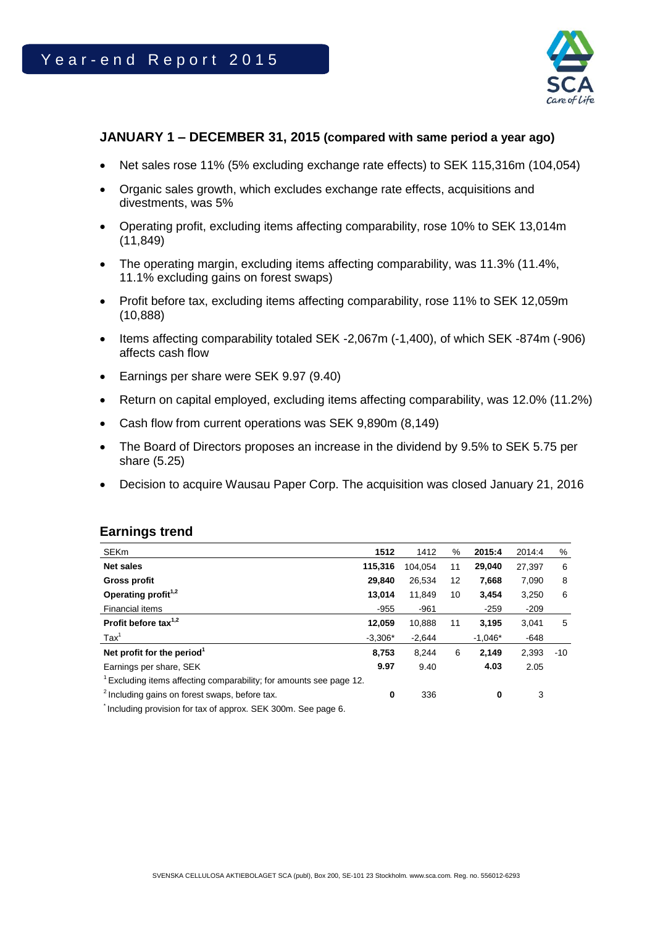

## **JANUARY 1 – DECEMBER 31, 2015 (compared with same period a year ago)**

- Net sales rose 11% (5% excluding exchange rate effects) to SEK 115,316m (104,054)
- Organic sales growth, which excludes exchange rate effects, acquisitions and divestments, was 5%
- Operating profit, excluding items affecting comparability, rose 10% to SEK 13,014m (11,849)
- The operating margin, excluding items affecting comparability, was 11.3% (11.4%, 11.1% excluding gains on forest swaps)
- Profit before tax, excluding items affecting comparability, rose 11% to SEK 12,059m (10,888)
- Items affecting comparability totaled SEK -2,067m (-1,400), of which SEK -874m (-906) affects cash flow
- Earnings per share were SEK 9.97 (9.40)
- Return on capital employed, excluding items affecting comparability, was 12.0% (11.2%)
- Cash flow from current operations was SEK 9,890m (8,149)
- The Board of Directors proposes an increase in the dividend by 9.5% to SEK 5.75 per share (5.25)
- Decision to acquire Wausau Paper Corp. The acquisition was closed January 21, 2016

### **Earnings trend**

| <b>SEKm</b>                                                                                                                                                                                                                                                                                                                                                     | 1512      | 1412     | %  | 2015:4    | 2014:4 | %     |
|-----------------------------------------------------------------------------------------------------------------------------------------------------------------------------------------------------------------------------------------------------------------------------------------------------------------------------------------------------------------|-----------|----------|----|-----------|--------|-------|
| <b>Net sales</b>                                                                                                                                                                                                                                                                                                                                                | 115,316   | 104.054  | 11 | 29.040    | 27,397 | 6     |
| <b>Gross profit</b>                                                                                                                                                                                                                                                                                                                                             | 29,840    | 26,534   | 12 | 7,668     | 7,090  | 8     |
| Operating profit <sup>1,2</sup>                                                                                                                                                                                                                                                                                                                                 | 13,014    | 11,849   | 10 | 3,454     | 3,250  | 6     |
| Financial items                                                                                                                                                                                                                                                                                                                                                 | $-955$    | $-961$   |    | $-259$    | $-209$ |       |
| Profit before tax $1,2$                                                                                                                                                                                                                                                                                                                                         | 12,059    | 10.888   | 11 | 3,195     | 3.041  | 5     |
| $\text{Tax}^1$                                                                                                                                                                                                                                                                                                                                                  | $-3.306*$ | $-2,644$ |    | $-1,046*$ | $-648$ |       |
| Net profit for the period <sup>1</sup>                                                                                                                                                                                                                                                                                                                          | 8,753     | 8.244    | 6  | 2,149     | 2,393  | $-10$ |
| Earnings per share, SEK                                                                                                                                                                                                                                                                                                                                         | 9.97      | 9.40     |    | 4.03      | 2.05   |       |
| Excluding items affecting comparability; for amounts see page 12.                                                                                                                                                                                                                                                                                               |           |          |    |           |        |       |
| <sup>2</sup> Including gains on forest swaps, before tax.                                                                                                                                                                                                                                                                                                       | 0         | 336      |    | 0         | 3      |       |
| $\overline{0}$ . The second state of second $\overline{0}$ $\overline{0}$ $\overline{1}$ $\overline{0}$ $\overline{0}$ $\overline{0}$ $\overline{0}$ $\overline{0}$ $\overline{0}$ $\overline{0}$ $\overline{0}$ $\overline{0}$ $\overline{0}$ $\overline{0}$ $\overline{0}$ $\overline{0}$ $\overline{0}$ $\overline{0}$ $\overline{0}$ $\overline{0}$ $\over$ |           |          |    |           |        |       |

Including provision for tax of approx. SEK 300m. See page 6.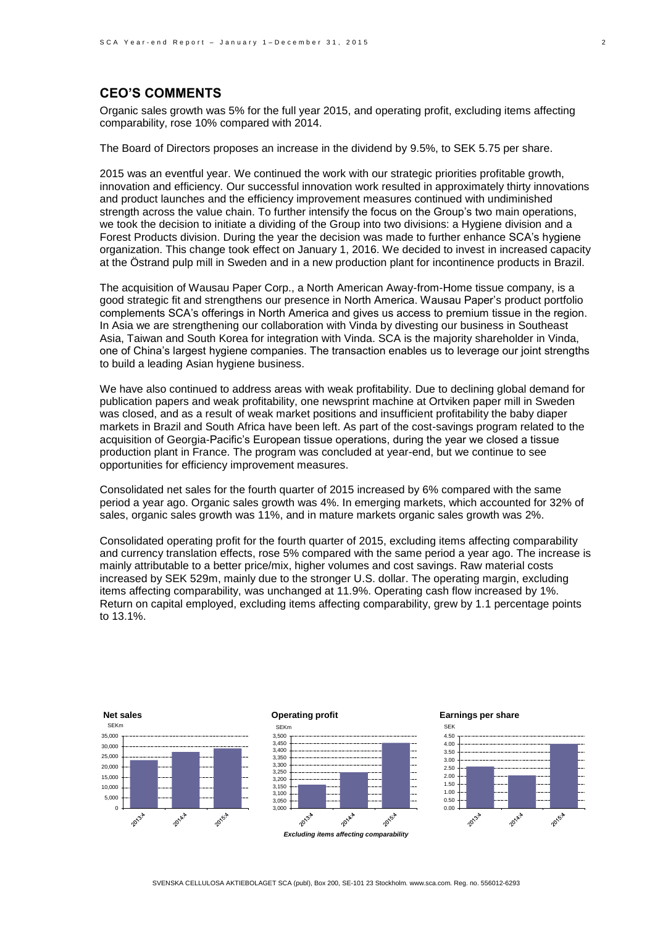## **CEO'S COMMENTS**

Organic sales growth was 5% for the full year 2015, and operating profit, excluding items affecting comparability, rose 10% compared with 2014.

The Board of Directors proposes an increase in the dividend by 9.5%, to SEK 5.75 per share.

2015 was an eventful year. We continued the work with our strategic priorities profitable growth, innovation and efficiency. Our successful innovation work resulted in approximately thirty innovations and product launches and the efficiency improvement measures continued with undiminished strength across the value chain. To further intensify the focus on the Group's two main operations, we took the decision to initiate a dividing of the Group into two divisions: a Hygiene division and a Forest Products division. During the year the decision was made to further enhance SCA's hygiene organization. This change took effect on January 1, 2016. We decided to invest in increased capacity at the Östrand pulp mill in Sweden and in a new production plant for incontinence products in Brazil.

The acquisition of Wausau Paper Corp., a North American Away-from-Home tissue company, is a good strategic fit and strengthens our presence in North America. Wausau Paper's product portfolio complements SCA's offerings in North America and gives us access to premium tissue in the region. In Asia we are strengthening our collaboration with Vinda by divesting our business in Southeast Asia, Taiwan and South Korea for integration with Vinda. SCA is the majority shareholder in Vinda, one of China's largest hygiene companies. The transaction enables us to leverage our joint strengths to build a leading Asian hygiene business.

We have also continued to address areas with weak profitability. Due to declining global demand for publication papers and weak profitability, one newsprint machine at Ortviken paper mill in Sweden was closed, and as a result of weak market positions and insufficient profitability the baby diaper markets in Brazil and South Africa have been left. As part of the cost-savings program related to the acquisition of Georgia-Pacific's European tissue operations, during the year we closed a tissue production plant in France. The program was concluded at year-end, but we continue to see opportunities for efficiency improvement measures.

Consolidated net sales for the fourth quarter of 2015 increased by 6% compared with the same period a year ago. Organic sales growth was 4%. In emerging markets, which accounted for 32% of sales, organic sales growth was 11%, and in mature markets organic sales growth was 2%.

Consolidated operating profit for the fourth quarter of 2015, excluding items affecting comparability and currency translation effects, rose 5% compared with the same period a year ago. The increase is mainly attributable to a better price/mix, higher volumes and cost savings. Raw material costs increased by SEK 529m, mainly due to the stronger U.S. dollar. The operating margin, excluding items affecting comparability, was unchanged at 11.9%. Operating cash flow increased by 1%. Return on capital employed, excluding items affecting comparability, grew by 1.1 percentage points to 13.1%.



*Excluding items affecting comparability*

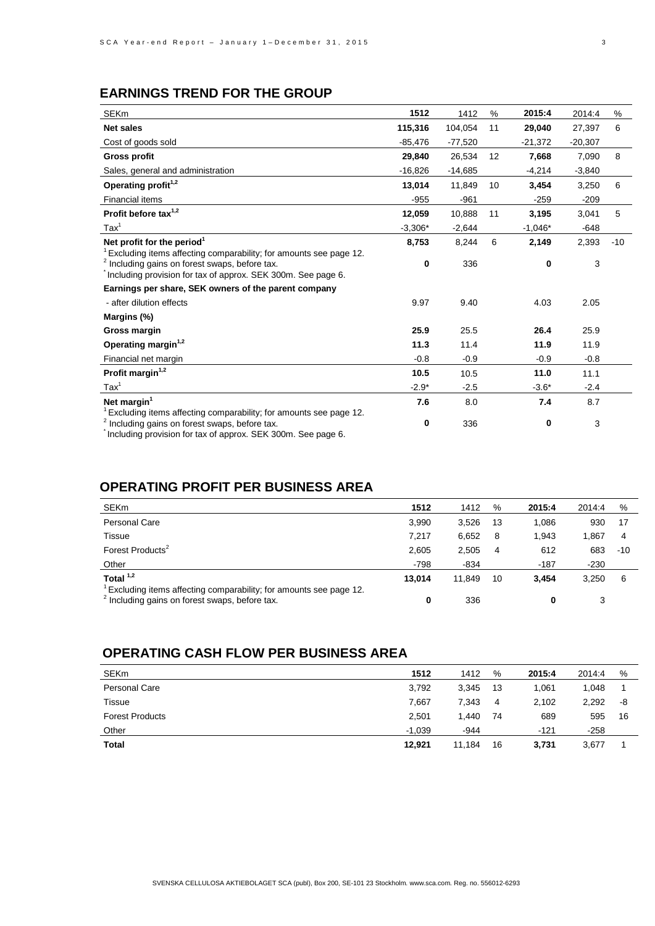# **EARNINGS TREND FOR THE GROUP**

| <b>SEKm</b>                                                                                                                                                                                                  | 1512         | 1412      | %                 | 2015:4    | 2014:4    | %     |
|--------------------------------------------------------------------------------------------------------------------------------------------------------------------------------------------------------------|--------------|-----------|-------------------|-----------|-----------|-------|
| <b>Net sales</b>                                                                                                                                                                                             | 115,316      | 104,054   | 11                | 29,040    | 27.397    | 6     |
| Cost of goods sold                                                                                                                                                                                           | -85,476      | $-77,520$ |                   | $-21,372$ | $-20,307$ |       |
| <b>Gross profit</b>                                                                                                                                                                                          | 29,840       | 26,534    | $12 \overline{ }$ | 7,668     | 7,090     | 8     |
| Sales, general and administration                                                                                                                                                                            | $-16,826$    | $-14,685$ |                   | $-4,214$  | $-3,840$  |       |
| Operating profit <sup>1,2</sup>                                                                                                                                                                              | 13,014       | 11,849    | 10                | 3,454     | 3,250     | 6     |
| <b>Financial items</b>                                                                                                                                                                                       | $-955$       | $-961$    |                   | $-259$    | $-209$    |       |
| Profit before tax $1,2$                                                                                                                                                                                      | 12,059       | 10,888    | 11                | 3,195     | 3,041     | 5     |
| $\text{Tax}^1$                                                                                                                                                                                               | $-3,306*$    | $-2,644$  |                   | $-1,046*$ | $-648$    |       |
| Net profit for the period <sup>1</sup>                                                                                                                                                                       | 8,753        | 8,244     | 6                 | 2,149     | 2,393     | $-10$ |
| <sup>1</sup> Excluding items affecting comparability; for amounts see page 12.<br><sup>2</sup> Including gains on forest swaps, before tax.<br>Including provision for tax of approx. SEK 300m. See page 6.  | $\mathbf{0}$ | 336       |                   | 0         | 3         |       |
| Earnings per share, SEK owners of the parent company                                                                                                                                                         |              |           |                   |           |           |       |
| - after dilution effects                                                                                                                                                                                     | 9.97         | 9.40      |                   | 4.03      | 2.05      |       |
| Margins (%)                                                                                                                                                                                                  |              |           |                   |           |           |       |
| Gross margin                                                                                                                                                                                                 | 25.9         | 25.5      |                   | 26.4      | 25.9      |       |
| Operating margin <sup>1,2</sup>                                                                                                                                                                              | 11.3         | 11.4      |                   | 11.9      | 11.9      |       |
| Financial net margin                                                                                                                                                                                         | $-0.8$       | $-0.9$    |                   | $-0.9$    | $-0.8$    |       |
| Profit margin <sup>1,2</sup>                                                                                                                                                                                 | 10.5         | 10.5      |                   | 11.0      | 11.1      |       |
| $\text{Tax}^1$                                                                                                                                                                                               | $-2.9*$      | $-2.5$    |                   | $-3.6*$   | $-2.4$    |       |
| Net margin <sup>1</sup>                                                                                                                                                                                      | 7.6          | 8.0       |                   | 7.4       | 8.7       |       |
| <sup>1</sup> Excluding items affecting comparability; for amounts see page 12.<br><sup>2</sup> Including gains on forest swaps, before tax.<br>Including provision for top of express OFIC 200ms, Can pape C | 0            | 336       |                   | 0         | 3         |       |

Including provision for tax of approx. SEK 300m. See page 6.

## **OPERATING PROFIT PER BUSINESS AREA**

| <b>SEKm</b>                                                                                                                    | 1512   | 1412   | %  | 2015:4 | 2014:4 | %     |
|--------------------------------------------------------------------------------------------------------------------------------|--------|--------|----|--------|--------|-------|
| <b>Personal Care</b>                                                                                                           | 3,990  | 3,526  | 13 | 1.086  | 930    | 17    |
| Tissue                                                                                                                         | 7.217  | 6,652  | -8 | 1.943  | 1.867  | 4     |
| Forest Products <sup>2</sup>                                                                                                   | 2,605  | 2,505  | 4  | 612    | 683    | $-10$ |
| Other                                                                                                                          | $-798$ | $-834$ |    | $-187$ | $-230$ |       |
| Total $1,2$                                                                                                                    | 13.014 | 11.849 | 10 | 3.454  | 3.250  | 6     |
| Excluding items affecting comparability; for amounts see page 12.<br><sup>2</sup> Including gains on forest swaps, before tax. | 0      | 336    |    |        | 3      |       |

## **OPERATING CASH FLOW PER BUSINESS AREA**

| <b>SEKm</b>            | 1512     | 1412   | %  | 2015:4 | 2014:4 | %  |
|------------------------|----------|--------|----|--------|--------|----|
| Personal Care          | 3.792    | 3,345  | 13 | 1,061  | 1.048  |    |
| Tissue                 | 7.667    | 7.343  | 4  | 2,102  | 2.292  | -8 |
| <b>Forest Products</b> | 2.501    | 1.440  | 74 | 689    | 595    | 16 |
| Other                  | $-1.039$ | -944   |    | $-121$ | $-258$ |    |
| Total                  | 12,921   | 11.184 | 16 | 3.731  | 3,677  |    |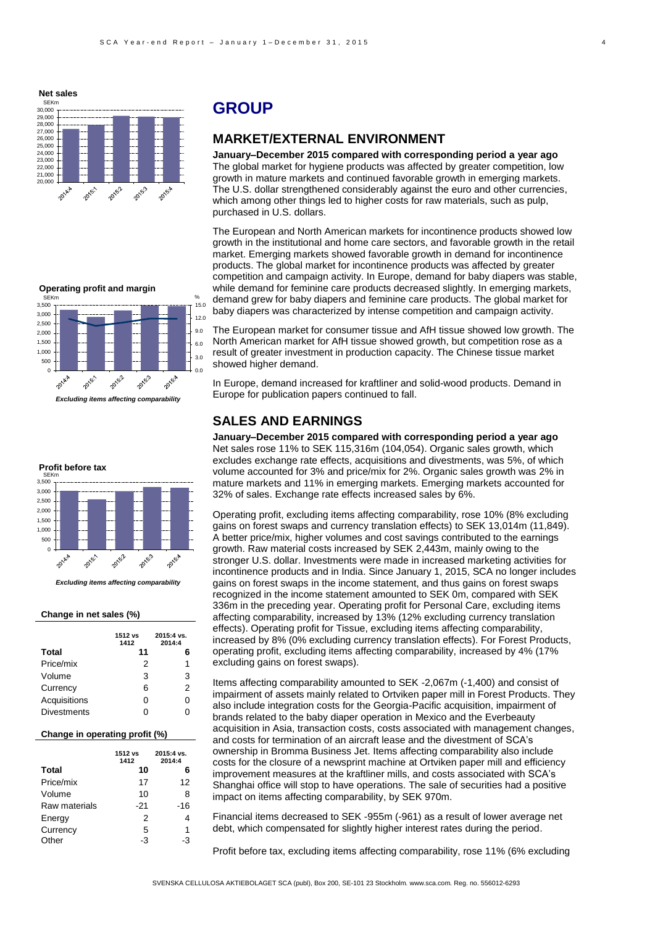

# **GROUP**

## **MARKET/EXTERNAL ENVIRONMENT**

**January–December 2015 compared with corresponding period a year ago** The global market for hygiene products was affected by greater competition, low growth in mature markets and continued favorable growth in emerging markets. The U.S. dollar strengthened considerably against the euro and other currencies, which among other things led to higher costs for raw materials, such as pulp, purchased in U.S. dollars.

The European and North American markets for incontinence products showed low growth in the institutional and home care sectors, and favorable growth in the retail market. Emerging markets showed favorable growth in demand for incontinence products. The global market for incontinence products was affected by greater competition and campaign activity. In Europe, demand for baby diapers was stable, while demand for feminine care products decreased slightly. In emerging markets, demand grew for baby diapers and feminine care products. The global market for baby diapers was characterized by intense competition and campaign activity.

The European market for consumer tissue and AfH tissue showed low growth. The North American market for AfH tissue showed growth, but competition rose as a result of greater investment in production capacity. The Chinese tissue market showed higher demand.

In Europe, demand increased for kraftliner and solid-wood products. Demand in Europe for publication papers continued to fall.

#### **SALES AND EARNINGS**

**January–December 2015 compared with corresponding period a year ago** Net sales rose 11% to SEK 115,316m (104,054). Organic sales growth, which excludes exchange rate effects, acquisitions and divestments, was 5%, of which volume accounted for 3% and price/mix for 2%. Organic sales growth was 2% in mature markets and 11% in emerging markets. Emerging markets accounted for 32% of sales. Exchange rate effects increased sales by 6%.

Operating profit, excluding items affecting comparability, rose 10% (8% excluding gains on forest swaps and currency translation effects) to SEK 13,014m (11,849). A better price/mix, higher volumes and cost savings contributed to the earnings growth. Raw material costs increased by SEK 2,443m, mainly owing to the stronger U.S. dollar. Investments were made in increased marketing activities for incontinence products and in India. Since January 1, 2015, SCA no longer includes gains on forest swaps in the income statement, and thus gains on forest swaps recognized in the income statement amounted to SEK 0m, compared with SEK 336m in the preceding year. Operating profit for Personal Care, excluding items affecting comparability, increased by 13% (12% excluding currency translation effects). Operating profit for Tissue, excluding items affecting comparability, increased by 8% (0% excluding currency translation effects). For Forest Products, operating profit, excluding items affecting comparability, increased by 4% (17% excluding gains on forest swaps).

Items affecting comparability amounted to SEK -2,067m (-1,400) and consist of impairment of assets mainly related to Ortviken paper mill in Forest Products. They also include integration costs for the Georgia-Pacific acquisition, impairment of brands related to the baby diaper operation in Mexico and the Everbeauty acquisition in Asia, transaction costs, costs associated with management changes, and costs for termination of an aircraft lease and the divestment of SCA's ownership in Bromma Business Jet. Items affecting comparability also include costs for the closure of a newsprint machine at Ortviken paper mill and efficiency improvement measures at the kraftliner mills, and costs associated with SCA's Shanghai office will stop to have operations. The sale of securities had a positive impact on items affecting comparability, by SEK 970m.

Financial items decreased to SEK -955m (-961) as a result of lower average net debt, which compensated for slightly higher interest rates during the period.

Profit before tax, excluding items affecting comparability, rose 11% (6% excluding



*Excluding items affecting comparability*



*Excluding items affecting comparability*

#### **Change in net sales (%)**

|                                | 1512 vs<br>1412 | 2015:4 vs.<br>2014:4 |  |  |  |
|--------------------------------|-----------------|----------------------|--|--|--|
| Total                          | 11              | 6                    |  |  |  |
| Price/mix                      | 2               | 1                    |  |  |  |
| Volume                         | 3               | 3                    |  |  |  |
| Currency                       | 6               | 2                    |  |  |  |
| Acquisitions                   | 0               | 0                    |  |  |  |
| <b>Divestments</b>             | 0               | 0                    |  |  |  |
| Change in operating profit (%) |                 |                      |  |  |  |

|               | 1512 vs<br>1412 | 2015:4 vs.<br>2014:4 |
|---------------|-----------------|----------------------|
| <b>Total</b>  | 10              | 6                    |
| Price/mix     | 17              | 12                   |
| Volume        | 10              | 8                    |
| Raw materials | $-21$           | -16                  |
| Energy        | 2               | 4                    |
| Currency      | 5               | 1                    |
| Other         | -3              | -3                   |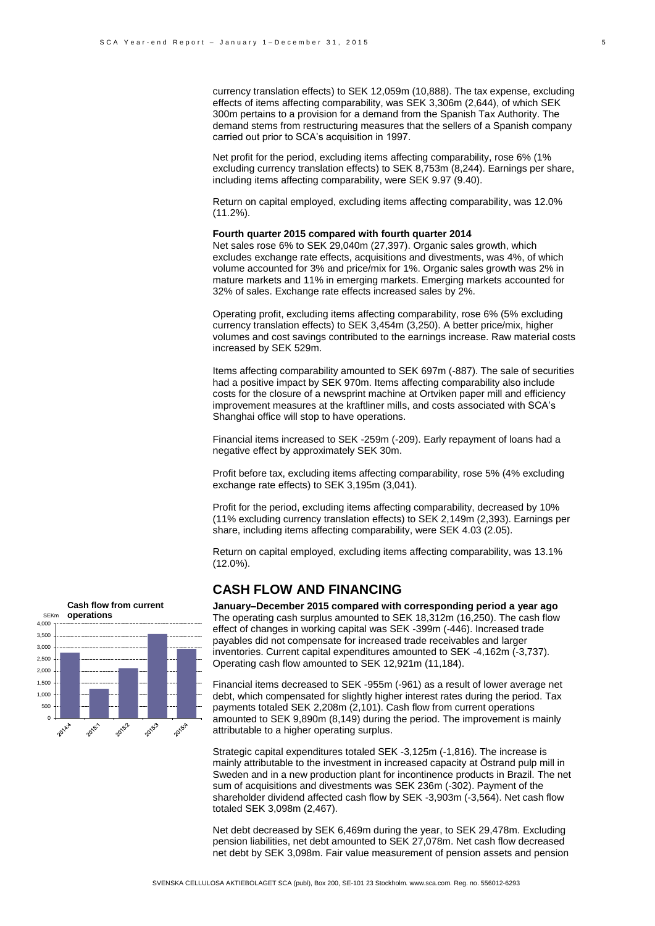currency translation effects) to SEK 12,059m (10,888). The tax expense, excluding effects of items affecting comparability, was SEK 3,306m (2,644), of which SEK 300m pertains to a provision for a demand from the Spanish Tax Authority. The demand stems from restructuring measures that the sellers of a Spanish company carried out prior to SCA's acquisition in 1997.

Net profit for the period, excluding items affecting comparability, rose 6% (1% excluding currency translation effects) to SEK 8,753m (8,244). Earnings per share, including items affecting comparability, were SEK 9.97 (9.40).

Return on capital employed, excluding items affecting comparability, was 12.0% (11.2%).

#### **Fourth quarter 2015 compared with fourth quarter 2014**

Net sales rose 6% to SEK 29,040m (27,397). Organic sales growth, which excludes exchange rate effects, acquisitions and divestments, was 4%, of which volume accounted for 3% and price/mix for 1%. Organic sales growth was 2% in mature markets and 11% in emerging markets. Emerging markets accounted for 32% of sales. Exchange rate effects increased sales by 2%.

Operating profit, excluding items affecting comparability, rose 6% (5% excluding currency translation effects) to SEK 3,454m (3,250). A better price/mix, higher volumes and cost savings contributed to the earnings increase. Raw material costs increased by SEK 529m.

Items affecting comparability amounted to SEK 697m (-887). The sale of securities had a positive impact by SEK 970m. Items affecting comparability also include costs for the closure of a newsprint machine at Ortviken paper mill and efficiency improvement measures at the kraftliner mills, and costs associated with SCA's Shanghai office will stop to have operations.

Financial items increased to SEK -259m (-209). Early repayment of loans had a negative effect by approximately SEK 30m.

Profit before tax, excluding items affecting comparability, rose 5% (4% excluding exchange rate effects) to SEK 3,195m (3,041).

Profit for the period, excluding items affecting comparability, decreased by 10% (11% excluding currency translation effects) to SEK 2,149m (2,393). Earnings per share, including items affecting comparability, were SEK 4.03 (2.05).

Return on capital employed, excluding items affecting comparability, was 13.1% (12.0%).

#### **CASH FLOW AND FINANCING**

**January–December 2015 compared with corresponding period a year ago** The operating cash surplus amounted to SEK 18,312m (16,250). The cash flow effect of changes in working capital was SEK -399m (-446). Increased trade payables did not compensate for increased trade receivables and larger inventories. Current capital expenditures amounted to SEK -4,162m (-3,737). Operating cash flow amounted to SEK 12,921m (11,184).

Financial items decreased to SEK -955m (-961) as a result of lower average net debt, which compensated for slightly higher interest rates during the period. Tax payments totaled SEK 2,208m (2,101). Cash flow from current operations amounted to SEK 9,890m (8,149) during the period. The improvement is mainly attributable to a higher operating surplus.

Strategic capital expenditures totaled SEK -3,125m (-1,816). The increase is mainly attributable to the investment in increased capacity at Östrand pulp mill in Sweden and in a new production plant for incontinence products in Brazil. The net sum of acquisitions and divestments was SEK 236m (-302). Payment of the shareholder dividend affected cash flow by SEK -3,903m (-3,564). Net cash flow totaled SEK 3,098m (2,467).

Net debt decreased by SEK 6,469m during the year, to SEK 29,478m. Excluding pension liabilities, net debt amounted to SEK 27,078m. Net cash flow decreased net debt by SEK 3,098m. Fair value measurement of pension assets and pension

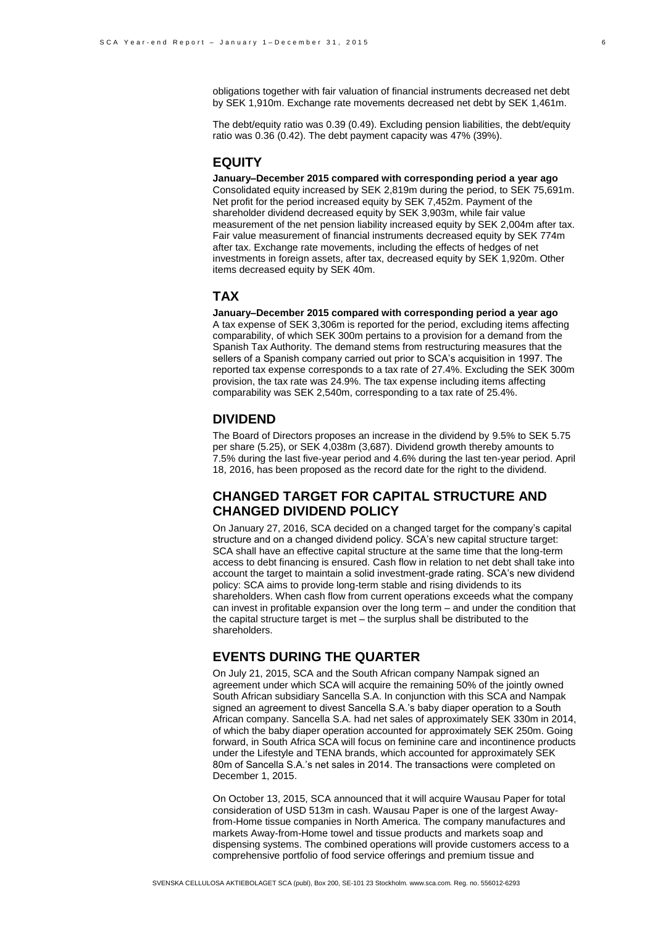obligations together with fair valuation of financial instruments decreased net debt by SEK 1,910m. Exchange rate movements decreased net debt by SEK 1,461m.

The debt/equity ratio was 0.39 (0.49). Excluding pension liabilities, the debt/equity ratio was 0.36 (0.42). The debt payment capacity was 47% (39%).

## **EQUITY**

**January–December 2015 compared with corresponding period a year ago** Consolidated equity increased by SEK 2,819m during the period, to SEK 75,691m. Net profit for the period increased equity by SEK 7,452m. Payment of the shareholder dividend decreased equity by SEK 3,903m, while fair value measurement of the net pension liability increased equity by SEK 2,004m after tax. Fair value measurement of financial instruments decreased equity by SEK 774m after tax. Exchange rate movements, including the effects of hedges of net investments in foreign assets, after tax, decreased equity by SEK 1,920m. Other items decreased equity by SEK 40m.

#### **TAX**

**January–December 2015 compared with corresponding period a year ago** A tax expense of SEK 3,306m is reported for the period, excluding items affecting comparability, of which SEK 300m pertains to a provision for a demand from the Spanish Tax Authority. The demand stems from restructuring measures that the sellers of a Spanish company carried out prior to SCA's acquisition in 1997. The reported tax expense corresponds to a tax rate of 27.4%. Excluding the SEK 300m provision, the tax rate was 24.9%. The tax expense including items affecting comparability was SEK 2,540m, corresponding to a tax rate of 25.4%.

#### **DIVIDEND**

The Board of Directors proposes an increase in the dividend by 9.5% to SEK 5.75 per share (5.25), or SEK 4,038m (3,687). Dividend growth thereby amounts to 7.5% during the last five-year period and 4.6% during the last ten-year period. April 18, 2016, has been proposed as the record date for the right to the dividend.

## **CHANGED TARGET FOR CAPITAL STRUCTURE AND CHANGED DIVIDEND POLICY**

On January 27, 2016, SCA decided on a changed target for the company's capital structure and on a changed dividend policy. SCA's new capital structure target: SCA shall have an effective capital structure at the same time that the long-term access to debt financing is ensured. Cash flow in relation to net debt shall take into account the target to maintain a solid investment-grade rating. SCA's new dividend policy: SCA aims to provide long-term stable and rising dividends to its shareholders. When cash flow from current operations exceeds what the company can invest in profitable expansion over the long term – and under the condition that the capital structure target is met – the surplus shall be distributed to the shareholders.

#### **EVENTS DURING THE QUARTER**

On July 21, 2015, SCA and the South African company Nampak signed an agreement under which SCA will acquire the remaining 50% of the jointly owned South African subsidiary Sancella S.A. In conjunction with this SCA and Nampak signed an agreement to divest Sancella S.A.'s baby diaper operation to a South African company. Sancella S.A. had net sales of approximately SEK 330m in 2014, of which the baby diaper operation accounted for approximately SEK 250m. Going forward, in South Africa SCA will focus on feminine care and incontinence products under the Lifestyle and TENA brands, which accounted for approximately SEK 80m of Sancella S.A.'s net sales in 2014. The transactions were completed on December 1, 2015.

On October 13, 2015, SCA announced that it will acquire Wausau Paper for total consideration of USD 513m in cash. Wausau Paper is one of the largest Awayfrom-Home tissue companies in North America. The company manufactures and markets Away-from-Home towel and tissue products and markets soap and dispensing systems. The combined operations will provide customers access to a comprehensive portfolio of food service offerings and premium tissue and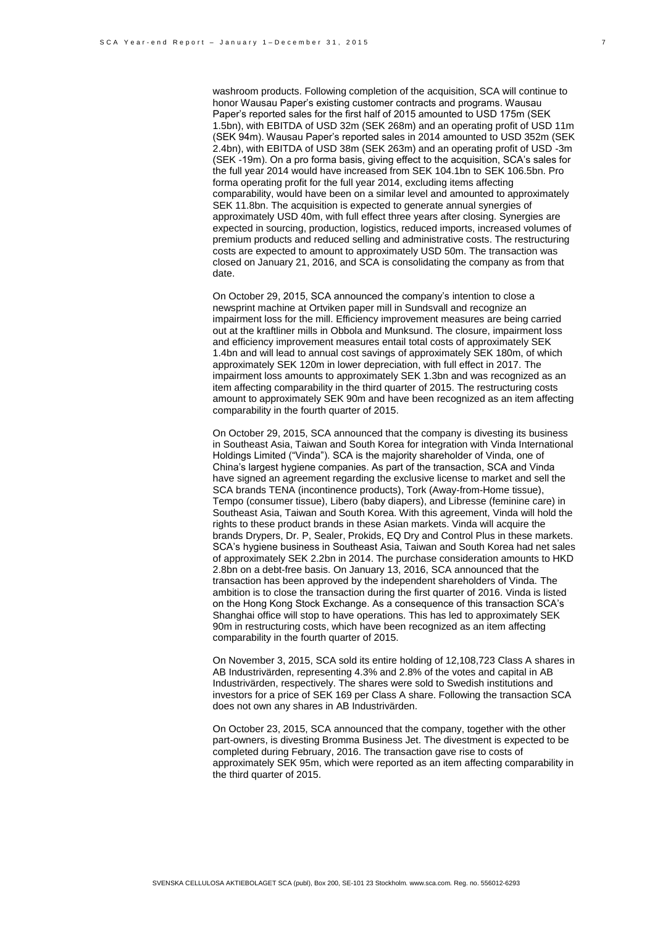washroom products. Following completion of the acquisition, SCA will continue to honor Wausau Paper's existing customer contracts and programs. Wausau Paper's reported sales for the first half of 2015 amounted to USD 175m (SEK 1.5bn), with EBITDA of USD 32m (SEK 268m) and an operating profit of USD 11m (SEK 94m). Wausau Paper's reported sales in 2014 amounted to USD 352m (SEK 2.4bn), with EBITDA of USD 38m (SEK 263m) and an operating profit of USD -3m (SEK -19m). On a pro forma basis, giving effect to the acquisition, SCA's sales for the full year 2014 would have increased from SEK 104.1bn to SEK 106.5bn. Pro forma operating profit for the full year 2014, excluding items affecting comparability, would have been on a similar level and amounted to approximately SEK 11.8bn. The acquisition is expected to generate annual synergies of approximately USD 40m, with full effect three years after closing. Synergies are expected in sourcing, production, logistics, reduced imports, increased volumes of premium products and reduced selling and administrative costs. The restructuring costs are expected to amount to approximately USD 50m. The transaction was closed on January 21, 2016, and SCA is consolidating the company as from that date.

On October 29, 2015, SCA announced the company's intention to close a newsprint machine at Ortviken paper mill in Sundsvall and recognize an impairment loss for the mill. Efficiency improvement measures are being carried out at the kraftliner mills in Obbola and Munksund. The closure, impairment loss and efficiency improvement measures entail total costs of approximately SEK 1.4bn and will lead to annual cost savings of approximately SEK 180m, of which approximately SEK 120m in lower depreciation, with full effect in 2017. The impairment loss amounts to approximately SEK 1.3bn and was recognized as an item affecting comparability in the third quarter of 2015. The restructuring costs amount to approximately SEK 90m and have been recognized as an item affecting comparability in the fourth quarter of 2015.

On October 29, 2015, SCA announced that the company is divesting its business in Southeast Asia, Taiwan and South Korea for integration with Vinda International Holdings Limited ("Vinda"). SCA is the majority shareholder of Vinda, one of China's largest hygiene companies. As part of the transaction, SCA and Vinda have signed an agreement regarding the exclusive license to market and sell the SCA brands TENA (incontinence products), Tork (Away-from-Home tissue), Tempo (consumer tissue), Libero (baby diapers), and Libresse (feminine care) in Southeast Asia, Taiwan and South Korea. With this agreement, Vinda will hold the rights to these product brands in these Asian markets. Vinda will acquire the brands Drypers, Dr. P, Sealer, Prokids, EQ Dry and Control Plus in these markets. SCA's hygiene business in Southeast Asia, Taiwan and South Korea had net sales of approximately SEK 2.2bn in 2014. The purchase consideration amounts to HKD 2.8bn on a debt-free basis. On January 13, 2016, SCA announced that the transaction has been approved by the independent shareholders of Vinda. The ambition is to close the transaction during the first quarter of 2016. Vinda is listed on the Hong Kong Stock Exchange. As a consequence of this transaction SCA's Shanghai office will stop to have operations. This has led to approximately SEK 90m in restructuring costs, which have been recognized as an item affecting comparability in the fourth quarter of 2015.

On November 3, 2015, SCA sold its entire holding of 12,108,723 Class A shares in AB Industrivärden, representing 4.3% and 2.8% of the votes and capital in AB Industrivärden, respectively. The shares were sold to Swedish institutions and investors for a price of SEK 169 per Class A share. Following the transaction SCA does not own any shares in AB Industrivärden.

On October 23, 2015, SCA announced that the company, together with the other part-owners, is divesting Bromma Business Jet. The divestment is expected to be completed during February, 2016. The transaction gave rise to costs of approximately SEK 95m, which were reported as an item affecting comparability in the third quarter of 2015.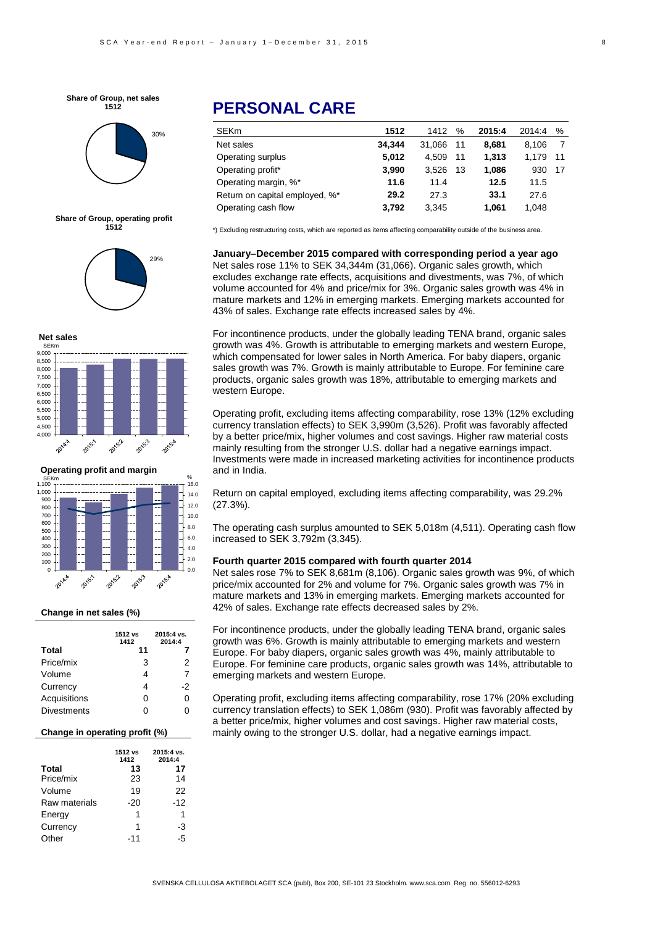



**Share of Group, operating profit 1512**







#### **Change in net sales (%)**

|                    | 1512 vs<br>1412 | 2015:4 vs.<br>2014:4 |
|--------------------|-----------------|----------------------|
| Total              | 11              | 7                    |
| Price/mix          | 3               | 2                    |
| Volume             | 4               | 7                    |
| Currency           | 4               | -2                   |
| Acquisitions       | ი               | 0                    |
| <b>Divestments</b> | ი               |                      |

#### **Change in operating profit (%)**

|               | 1512 vs<br>1412 | 2015:4 vs.<br>2014:4 |
|---------------|-----------------|----------------------|
| <b>Total</b>  | 13              | 17                   |
| Price/mix     | 23              | 14                   |
| Volume        | 19              | 22                   |
| Raw materials | $-20$           | $-12$                |
| Energy        | 1               | 1                    |
| Currency      | 1               | -3                   |
| Other         | -11             | -5                   |

# **PERSONAL CARE**

| 1512   | 1412   | %  | 2015:4 | 2014:4 | %    |
|--------|--------|----|--------|--------|------|
| 34.344 | 31.066 | 11 | 8,681  | 8.106  |      |
| 5.012  | 4.509  | 11 | 1.313  | 1.179  | - 11 |
| 3,990  | 3.526  | 13 | 1,086  | 930    | - 17 |
| 11.6   | 11.4   |    | 12.5   | 11.5   |      |
| 29.2   | 27.3   |    | 33.1   | 27.6   |      |
| 3.792  | 3,345  |    | 1,061  | 1,048  |      |
|        |        |    |        |        |      |

\*) Excluding restructuring costs, which are reported as items affecting comparability outside of the business area.

**January–December 2015 compared with corresponding period a year ago** Net sales rose 11% to SEK 34,344m (31,066). Organic sales growth, which excludes exchange rate effects, acquisitions and divestments, was 7%, of which volume accounted for 4% and price/mix for 3%. Organic sales growth was 4% in mature markets and 12% in emerging markets. Emerging markets accounted for 43% of sales. Exchange rate effects increased sales by 4%.

For incontinence products, under the globally leading TENA brand, organic sales growth was 4%. Growth is attributable to emerging markets and western Europe, which compensated for lower sales in North America. For baby diapers, organic sales growth was 7%. Growth is mainly attributable to Europe. For feminine care products, organic sales growth was 18%, attributable to emerging markets and western Europe.

Operating profit, excluding items affecting comparability, rose 13% (12% excluding currency translation effects) to SEK 3,990m (3,526). Profit was favorably affected by a better price/mix, higher volumes and cost savings. Higher raw material costs mainly resulting from the stronger U.S. dollar had a negative earnings impact. Investments were made in increased marketing activities for incontinence products and in India.

Return on capital employed, excluding items affecting comparability, was 29.2%  $(27.3\%)$ .

The operating cash surplus amounted to SEK 5,018m (4,511). Operating cash flow increased to SEK 3,792m (3,345).

#### **Fourth quarter 2015 compared with fourth quarter 2014**

Net sales rose 7% to SEK 8,681m (8,106). Organic sales growth was 9%, of which price/mix accounted for 2% and volume for 7%. Organic sales growth was 7% in mature markets and 13% in emerging markets. Emerging markets accounted for 42% of sales. Exchange rate effects decreased sales by 2%.

For incontinence products, under the globally leading TENA brand, organic sales growth was 6%. Growth is mainly attributable to emerging markets and western Europe. For baby diapers, organic sales growth was 4%, mainly attributable to Europe. For feminine care products, organic sales growth was 14%, attributable to emerging markets and western Europe.

a better price/mix, higher volumes and cost savings. Higher raw material costs, Operating profit, excluding items affecting comparability, rose 17% (20% excluding currency translation effects) to SEK 1,086m (930). Profit was favorably affected by mainly owing to the stronger U.S. dollar, had a negative earnings impact.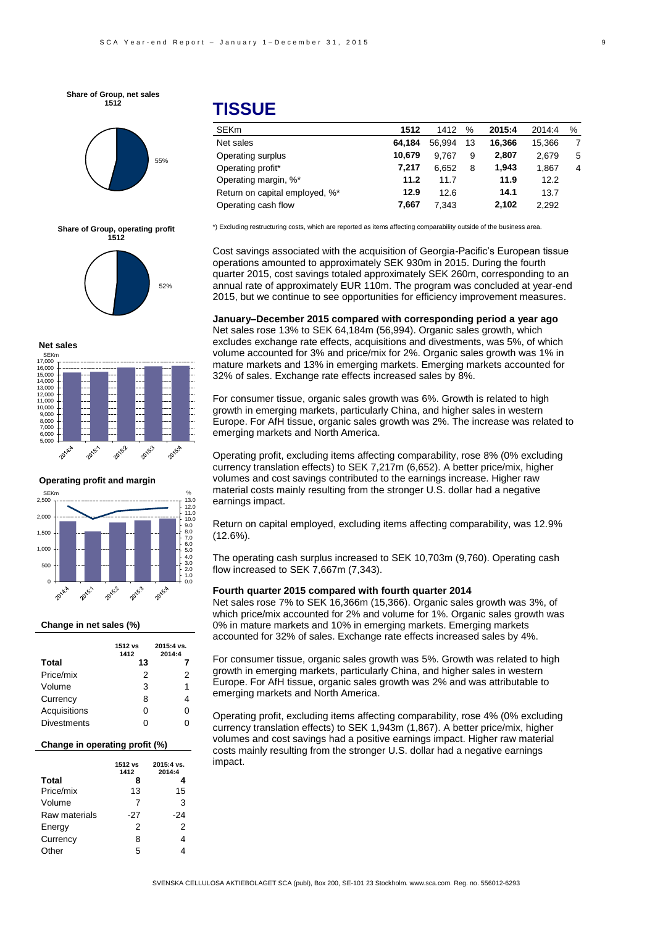**Share of Group, net sales 1512**







**Net sales**



**Operating profit and margin**



#### **Change in net sales (%)**

|                    | 1512 vs<br>1412 | 2015:4 vs.<br>2014:4 |
|--------------------|-----------------|----------------------|
| <b>Total</b>       | 13              |                      |
| Price/mix          | 2               | 2                    |
| Volume             | 3               | 1                    |
| Currency           | 8               | 4                    |
| Acquisitions       | O               | U                    |
| <b>Divestments</b> |                 |                      |

#### **Change in operating profit (%)**

|               | 1512 vs<br>1412 | 2015:4 vs.<br>2014:4 |
|---------------|-----------------|----------------------|
| <b>Total</b>  | 8               |                      |
| Price/mix     | 13              | 15                   |
| Volume        | 7               | 3                    |
| Raw materials | -27             | -24                  |
| Energy        | 2               | 2                    |
| Currency      | 8               | 4                    |
| Other         | 5               |                      |

# **TISSUE**

| <b>SEKm</b>                    | 1512   | 1412   | %  | 2015:4 | 2014:4 | % |
|--------------------------------|--------|--------|----|--------|--------|---|
| Net sales                      | 64.184 | 56.994 | 13 | 16.366 | 15.366 | 7 |
| Operating surplus              | 10.679 | 9.767  | 9  | 2.807  | 2.679  | 5 |
| Operating profit*              | 7.217  | 6.652  | 8  | 1.943  | 1.867  | 4 |
| Operating margin, %*           | 11.2   | 11.7   |    | 11.9   | 12.2   |   |
| Return on capital employed, %* | 12.9   | 12.6   |    | 14.1   | 13.7   |   |
| Operating cash flow            | 7.667  | 7.343  |    | 2.102  | 2.292  |   |

\*) Excluding restructuring costs, which are reported as items affecting comparability outside of the business area.

Cost savings associated with the acquisition of Georgia-Pacific's European tissue operations amounted to approximately SEK 930m in 2015. During the fourth quarter 2015, cost savings totaled approximately SEK 260m, corresponding to an annual rate of approximately EUR 110m. The program was concluded at year-end 2015, but we continue to see opportunities for efficiency improvement measures.

**January–December 2015 compared with corresponding period a year ago** Net sales rose 13% to SEK 64,184m (56,994). Organic sales growth, which excludes exchange rate effects, acquisitions and divestments, was 5%, of which volume accounted for 3% and price/mix for 2%. Organic sales growth was 1% in mature markets and 13% in emerging markets. Emerging markets accounted for 32% of sales. Exchange rate effects increased sales by 8%.

For consumer tissue, organic sales growth was 6%. Growth is related to high growth in emerging markets, particularly China, and higher sales in western Europe. For AfH tissue, organic sales growth was 2%. The increase was related to emerging markets and North America.

Operating profit, excluding items affecting comparability, rose 8% (0% excluding currency translation effects) to SEK 7,217m (6,652). A better price/mix, higher volumes and cost savings contributed to the earnings increase. Higher raw material costs mainly resulting from the stronger U.S. dollar had a negative earnings impact.

Return on capital employed, excluding items affecting comparability, was 12.9%  $(12.6\%)$ .

The operating cash surplus increased to SEK 10,703m (9,760). Operating cash flow increased to SEK 7,667m (7,343).

#### **Fourth quarter 2015 compared with fourth quarter 2014**

Net sales rose 7% to SEK 16,366m (15,366). Organic sales growth was 3%, of which price/mix accounted for 2% and volume for 1%. Organic sales growth was 0% in mature markets and 10% in emerging markets. Emerging markets accounted for 32% of sales. Exchange rate effects increased sales by 4%.

For consumer tissue, organic sales growth was 5%. Growth was related to high growth in emerging markets, particularly China, and higher sales in western Europe. For AfH tissue, organic sales growth was 2% and was attributable to emerging markets and North America.

-6 volumes and cost savings had a positive earnings impact. Higher raw material Operating profit, excluding items affecting comparability, rose 4% (0% excluding currency translation effects) to SEK 1,943m (1,867). A better price/mix, higher costs mainly resulting from the stronger U.S. dollar had a negative earnings impact.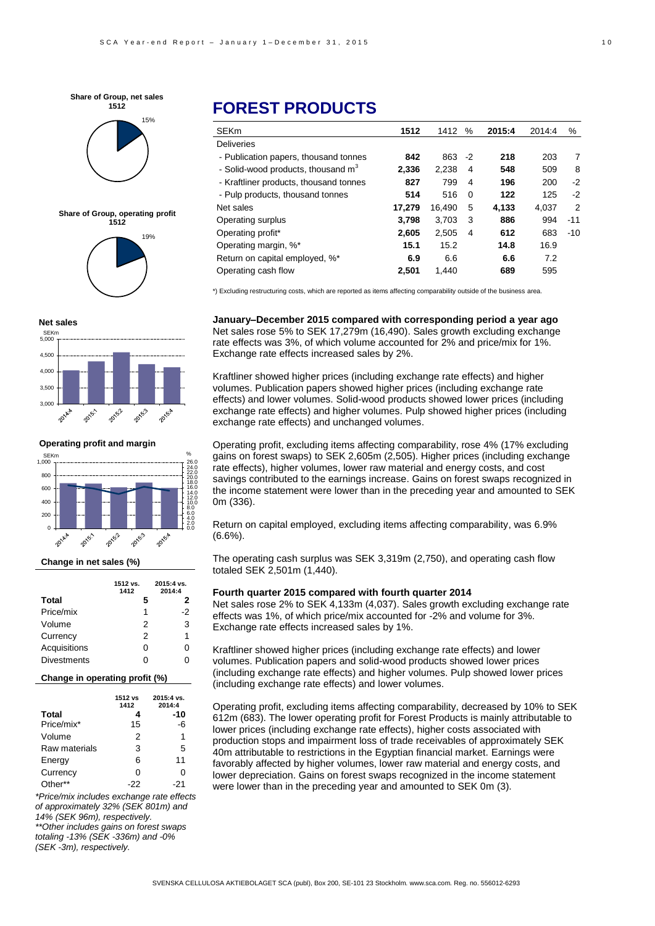









**Operating profit and margin**



#### **Change in net sales (%)**

|                    | 1512 vs.<br>1412 | 2015:4 vs.<br>2014:4 |
|--------------------|------------------|----------------------|
| Total              | 5                | 2                    |
| Price/mix          | 1                | -2                   |
| Volume             | 2                | 3                    |
| Currency           | 2                | 1                    |
| Acquisitions       | O                | 0                    |
| <b>Divestments</b> | ი                | ი                    |

#### **Change in operating profit (%)**

|               | 1512 vs<br>1412 | 2015:4 vs.<br>2014:4 |
|---------------|-----------------|----------------------|
| <b>Total</b>  | 4               | -10                  |
| Price/mix*    | 15              | -6                   |
| Volume        | 2               | 1                    |
| Raw materials | 3               | 5                    |
| Energy        | 6               | 11                   |
| Currency      | 0               | Ω                    |
| Other**       | -22             | -21                  |

*\*Price/mix includes exchange rate effects of approximately 32% (SEK 801m) and 14% (SEK 96m), respectively. \*\*Other includes gains on forest swaps totaling -13% (SEK -336m) and -0% (SEK -3m), respectively.*

# **FOREST PRODUCTS**

| <b>SEKm</b>                                    | 1512   | 1412      | %              | 2015:4 | 2014:4 | %              |
|------------------------------------------------|--------|-----------|----------------|--------|--------|----------------|
| <b>Deliveries</b>                              |        |           |                |        |        |                |
| - Publication papers, thousand tonnes          | 842    | $863 - 2$ |                | 218    | 203    | 7              |
| - Solid-wood products, thousand m <sup>3</sup> | 2.336  | 2.238     | 4              | 548    | 509    | 8              |
| - Kraftliner products, thousand tonnes         | 827    | 799       | 4              | 196    | 200    | $-2$           |
| - Pulp products, thousand tonnes               | 514    | 516       | $\Omega$       | 122    | 125    | $-2$           |
| Net sales                                      | 17,279 | 16,490    | 5              | 4.133  | 4.037  | $\overline{2}$ |
| Operating surplus                              | 3,798  | 3.703     | 3              | 886    | 994    | $-11$          |
| Operating profit*                              | 2.605  | 2.505     | $\overline{4}$ | 612    | 683    | $-10$          |
| Operating margin, %*                           | 15.1   | 15.2      |                | 14.8   | 16.9   |                |
| Return on capital employed, %*                 | 6.9    | 6.6       |                | 6.6    | 7.2    |                |
| Operating cash flow                            | 2.501  | 1.440     |                | 689    | 595    |                |

\*) Excluding restructuring costs, which are reported as items affecting comparability outside of the business area.

**January–December 2015 compared with corresponding period a year ago** Net sales rose 5% to SEK 17,279m (16,490). Sales growth excluding exchange rate effects was 3%, of which volume accounted for 2% and price/mix for 1%. Exchange rate effects increased sales by 2%.

Kraftliner showed higher prices (including exchange rate effects) and higher volumes. Publication papers showed higher prices (including exchange rate effects) and lower volumes. Solid-wood products showed lower prices (including exchange rate effects) and higher volumes. Pulp showed higher prices (including exchange rate effects) and unchanged volumes.

Operating profit, excluding items affecting comparability, rose 4% (17% excluding gains on forest swaps) to SEK 2,605m (2,505). Higher prices (including exchange rate effects), higher volumes, lower raw material and energy costs, and cost savings contributed to the earnings increase. Gains on forest swaps recognized in the income statement were lower than in the preceding year and amounted to SEK 0m (336).

Return on capital employed, excluding items affecting comparability, was 6.9% (6.6%).

The operating cash surplus was SEK 3,319m (2,750), and operating cash flow totaled SEK 2,501m (1,440).

#### **Fourth quarter 2015 compared with fourth quarter 2014**

Net sales rose 2% to SEK 4,133m (4,037). Sales growth excluding exchange rate effects was 1%, of which price/mix accounted for -2% and volume for 3%. Exchange rate effects increased sales by 1%.

Kraftliner showed higher prices (including exchange rate effects) and lower volumes. Publication papers and solid-wood products showed lower prices (including exchange rate effects) and higher volumes. Pulp showed lower prices (including exchange rate effects) and lower volumes.

Operating profit, excluding items affecting comparability, decreased by 10% to SEK 612m (683). The lower operating profit for Forest Products is mainly attributable to lower prices (including exchange rate effects), higher costs associated with production stops and impairment loss of trade receivables of approximately SEK 40m attributable to restrictions in the Egyptian financial market. Earnings were favorably affected by higher volumes, lower raw material and energy costs, and lower depreciation. Gains on forest swaps recognized in the income statement were lower than in the preceding year and amounted to SEK 0m (3).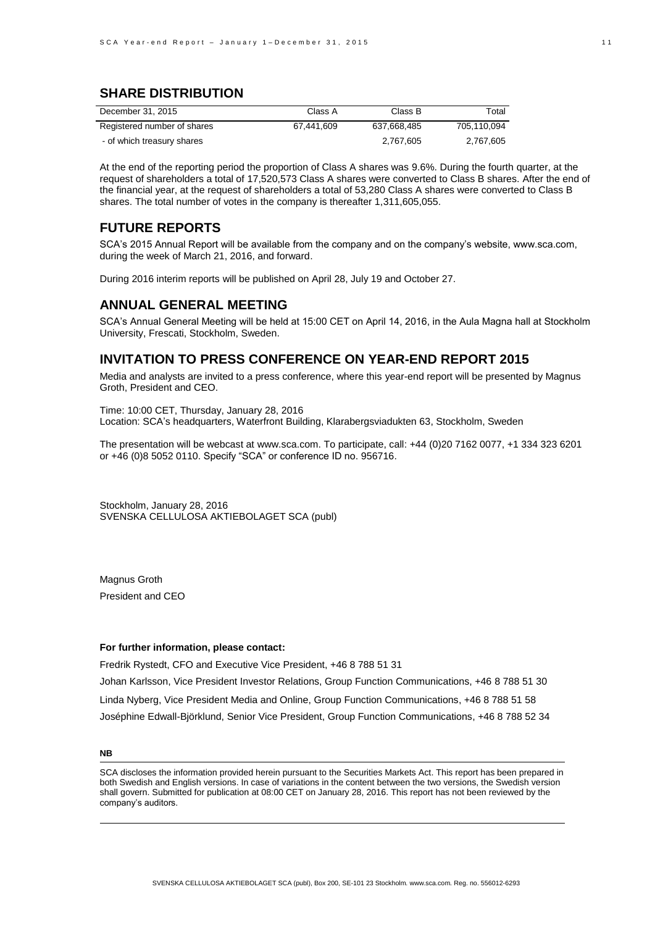## **SHARE DISTRIBUTION**

| December 31, 2015           | Class A    | Class B     | Total       |
|-----------------------------|------------|-------------|-------------|
| Registered number of shares | 67.441.609 | 637.668.485 | 705.110.094 |
| - of which treasury shares  |            | 2.767.605   | 2.767.605   |

At the end of the reporting period the proportion of Class A shares was 9.6%. During the fourth quarter, at the request of shareholders a total of 17,520,573 Class A shares were converted to Class B shares. After the end of the financial year, at the request of shareholders a total of 53,280 Class A shares were converted to Class B shares. The total number of votes in the company is thereafter 1,311,605,055.

### **FUTURE REPORTS**

SCA's 2015 Annual Report will be available from the company and on the company's website, www.sca.com, during the week of March 21, 2016, and forward.

During 2016 interim reports will be published on April 28, July 19 and October 27.

#### **ANNUAL GENERAL MEETING**

SCA's Annual General Meeting will be held at 15:00 CET on April 14, 2016, in the Aula Magna hall at Stockholm University, Frescati, Stockholm, Sweden.

## **INVITATION TO PRESS CONFERENCE ON YEAR-END REPORT 2015**

Media and analysts are invited to a press conference, where this year-end report will be presented by Magnus Groth, President and CEO.

Time: 10:00 CET, Thursday, January 28, 2016 Location: SCA's headquarters, Waterfront Building, Klarabergsviadukten 63, Stockholm, Sweden

The presentation will be webcast at www.sca.com. To participate, call: +44 (0)20 7162 0077, +1 334 323 6201 or +46 (0)8 5052 0110. Specify "SCA" or conference ID no. 956716.

Stockholm, January 28, 2016 SVENSKA CELLULOSA AKTIEBOLAGET SCA (publ)

Magnus Groth President and CEO

#### **For further information, please contact:**

Fredrik Rystedt, CFO and Executive Vice President, +46 8 788 51 31

Johan Karlsson, Vice President Investor Relations, Group Function Communications, +46 8 788 51 30 Linda Nyberg, Vice President Media and Online, Group Function Communications, +46 8 788 51 58 Joséphine Edwall-Björklund, Senior Vice President, Group Function Communications, +46 8 788 52 34

#### **NB**

SCA discloses the information provided herein pursuant to the Securities Markets Act. This report has been prepared in both Swedish and English versions. In case of variations in the content between the two versions, the Swedish version shall govern. Submitted for publication at 08:00 CET on January 28, 2016. This report has not been reviewed by the company's auditors.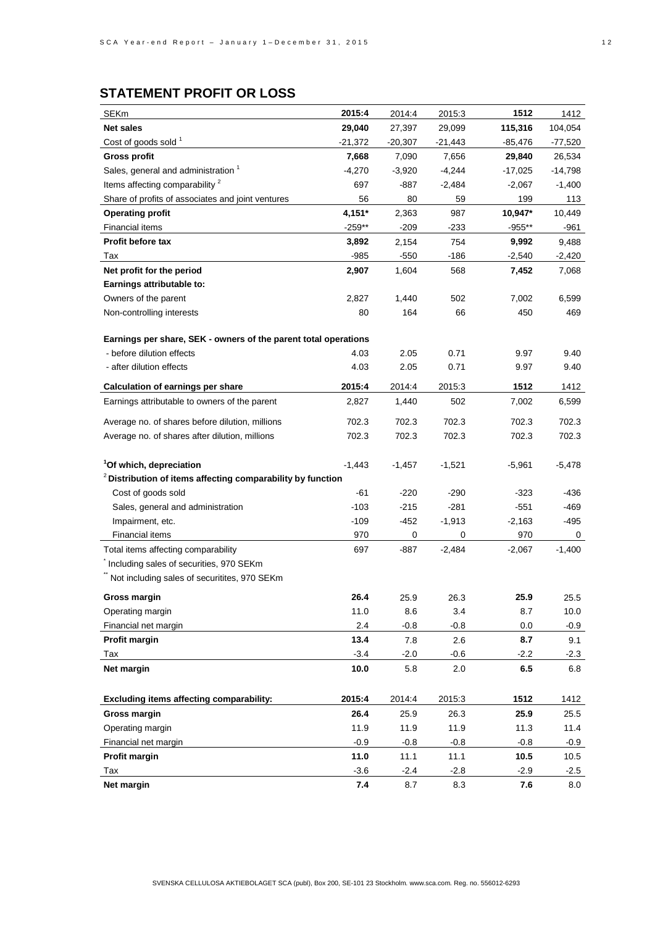# **STATEMENT PROFIT OR LOSS**

| <b>SEKm</b>                                                     | 2015:4   | 2014:4    | 2015:3    | 1512      | 1412      |
|-----------------------------------------------------------------|----------|-----------|-----------|-----------|-----------|
| <b>Net sales</b>                                                | 29,040   | 27,397    | 29,099    | 115,316   | 104,054   |
| Cost of goods sold <sup>1</sup>                                 | -21,372  | $-20,307$ | $-21,443$ | -85,476   | -77,520   |
| <b>Gross profit</b>                                             | 7,668    | 7,090     | 7,656     | 29,840    | 26,534    |
| Sales, general and administration <sup>1</sup>                  | $-4,270$ | $-3,920$  | $-4,244$  | $-17,025$ | $-14,798$ |
| Items affecting comparability <sup>2</sup>                      | 697      | -887      | $-2,484$  | $-2,067$  | $-1,400$  |
| Share of profits of associates and joint ventures               | 56       | 80        | 59        | 199       | 113       |
| <b>Operating profit</b>                                         | 4,151*   | 2,363     | 987       | 10,947*   | 10,449    |
| Financial items                                                 | $-259**$ | $-209$    | $-233$    | $-955**$  | -961      |
| <b>Profit before tax</b>                                        | 3,892    | 2,154     | 754       | 9,992     | 9,488     |
| Tax                                                             | $-985$   | -550      | $-186$    | $-2,540$  | $-2,420$  |
| Net profit for the period                                       | 2,907    | 1,604     | 568       | 7,452     | 7,068     |
| Earnings attributable to:                                       |          |           |           |           |           |
| Owners of the parent                                            | 2,827    | 1,440     | 502       | 7,002     | 6,599     |
| Non-controlling interests                                       | 80       | 164       | 66        | 450       | 469       |
|                                                                 |          |           |           |           |           |
| Earnings per share, SEK - owners of the parent total operations |          |           |           |           |           |
| - before dilution effects                                       | 4.03     | 2.05      | 0.71      | 9.97      | 9.40      |
| - after dilution effects                                        | 4.03     | 2.05      | 0.71      | 9.97      | 9.40      |
| <b>Calculation of earnings per share</b>                        | 2015:4   | 2014:4    | 2015:3    | 1512      | 1412      |
| Earnings attributable to owners of the parent                   | 2,827    | 1,440     | 502       | 7,002     | 6,599     |
| Average no. of shares before dilution, millions                 | 702.3    | 702.3     | 702.3     | 702.3     | 702.3     |
| Average no. of shares after dilution, millions                  | 702.3    | 702.3     | 702.3     | 702.3     | 702.3     |
|                                                                 |          |           |           |           |           |
| <sup>1</sup> Of which, depreciation                             | $-1,443$ | $-1,457$  | $-1,521$  | $-5,961$  | $-5,478$  |
| $2$ Distribution of items affecting comparability by function   |          |           |           |           |           |
| Cost of goods sold                                              | -61      | $-220$    | $-290$    | $-323$    | -436      |
| Sales, general and administration                               | $-103$   | $-215$    | -281      | $-551$    | -469      |
| Impairment, etc.                                                | $-109$   | -452      | $-1,913$  | $-2,163$  | $-495$    |
| <b>Financial items</b>                                          | 970      | 0         | 0         | 970       | 0         |
| Total items affecting comparability                             | 697      | -887      | $-2,484$  | $-2,067$  | $-1,400$  |
| Including sales of securities, 970 SEKm                         |          |           |           |           |           |
| Not including sales of securitites, 970 SEKm                    |          |           |           |           |           |
| <b>Gross margin</b>                                             | 26.4     | 25.9      | 26.3      | 25.9      | 25.5      |
| Operating margin                                                | 11.0     | 8.6       | 3.4       | 8.7       | 10.0      |
| Financial net margin                                            | 2.4      | $-0.8$    | $-0.8$    | 0.0       | $-0.9$    |
| Profit margin                                                   | 13.4     | 7.8       | 2.6       | 8.7       | 9.1       |
| Tax                                                             | $-3.4$   | $-2.0$    | $-0.6$    | $-2.2$    | $-2.3$    |
| Net margin                                                      | 10.0     | 5.8       | 2.0       | 6.5       | 6.8       |
|                                                                 |          |           |           |           |           |
| Excluding items affecting comparability:                        | 2015:4   | 2014:4    | 2015:3    | 1512      | 1412      |
| Gross margin                                                    | 26.4     | 25.9      | 26.3      | 25.9      | 25.5      |
| Operating margin                                                | 11.9     | 11.9      | 11.9      | 11.3      | 11.4      |
| Financial net margin                                            | $-0.9$   | $-0.8$    | $-0.8$    | $-0.8$    | $-0.9$    |
| Profit margin                                                   | 11.0     | 11.1      | 11.1      | 10.5      | 10.5      |
| Tax                                                             | $-3.6$   | $-2.4$    | $-2.8$    | $-2.9$    | $-2.5$    |
| Net margin                                                      | 7.4      | 8.7       | 8.3       | 7.6       | 8.0       |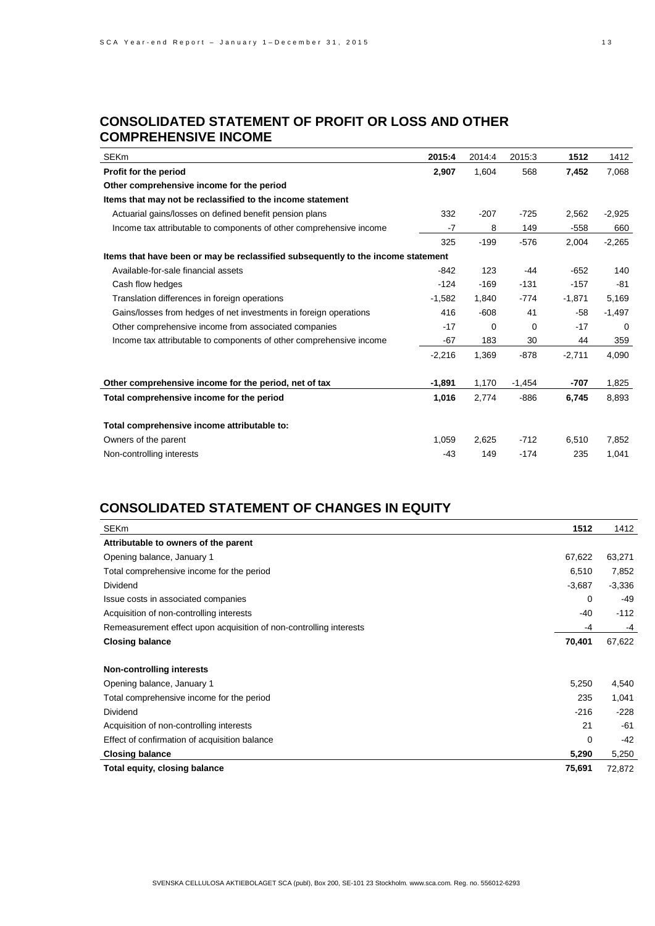## **CONSOLIDATED STATEMENT OF PROFIT OR LOSS AND OTHER COMPREHENSIVE INCOME**

| <b>SEKm</b>                                                                      | 2015:4   | 2014:4 | 2015:3   | 1512     | 1412     |
|----------------------------------------------------------------------------------|----------|--------|----------|----------|----------|
| Profit for the period                                                            | 2,907    | 1,604  | 568      | 7,452    | 7,068    |
| Other comprehensive income for the period                                        |          |        |          |          |          |
| Items that may not be reclassified to the income statement                       |          |        |          |          |          |
| Actuarial gains/losses on defined benefit pension plans                          | 332      | $-207$ | $-725$   | 2,562    | $-2,925$ |
| Income tax attributable to components of other comprehensive income              | $-7$     | 8      | 149      | $-558$   | 660      |
|                                                                                  | 325      | $-199$ | $-576$   | 2,004    | $-2,265$ |
| Items that have been or may be reclassified subsequently to the income statement |          |        |          |          |          |
| Available-for-sale financial assets                                              | $-842$   | 123    | -44      | $-652$   | 140      |
| Cash flow hedges                                                                 | $-124$   | $-169$ | $-131$   | $-157$   | -81      |
| Translation differences in foreign operations                                    | $-1,582$ | 1,840  | $-774$   | $-1,871$ | 5,169    |
| Gains/losses from hedges of net investments in foreign operations                | 416      | $-608$ | 41       | $-58$    | $-1,497$ |
| Other comprehensive income from associated companies                             | $-17$    | 0      | 0        | $-17$    | $\Omega$ |
| Income tax attributable to components of other comprehensive income              | $-67$    | 183    | 30       | 44       | 359      |
|                                                                                  | $-2,216$ | 1,369  | $-878$   | $-2,711$ | 4,090    |
| Other comprehensive income for the period, net of tax                            | $-1,891$ | 1,170  | $-1,454$ | -707     | 1,825    |
| Total comprehensive income for the period                                        | 1,016    | 2,774  | $-886$   | 6,745    | 8,893    |
| Total comprehensive income attributable to:                                      |          |        |          |          |          |
| Owners of the parent                                                             | 1,059    | 2,625  | $-712$   | 6,510    | 7,852    |
| Non-controlling interests                                                        | $-43$    | 149    | $-174$   | 235      | 1,041    |

## **CONSOLIDATED STATEMENT OF CHANGES IN EQUITY**

| <b>SEKm</b>                                                        | 1512     | 1412     |
|--------------------------------------------------------------------|----------|----------|
| Attributable to owners of the parent                               |          |          |
| Opening balance, January 1                                         | 67,622   | 63,271   |
| Total comprehensive income for the period                          | 6,510    | 7,852    |
| Dividend                                                           | $-3,687$ | $-3,336$ |
| Issue costs in associated companies                                | 0        | -49      |
| Acquisition of non-controlling interests                           | -40      | $-112$   |
| Remeasurement effect upon acquisition of non-controlling interests | -4       | -4       |
| <b>Closing balance</b>                                             | 70,401   | 67,622   |
| Non-controlling interests                                          |          |          |
| Opening balance, January 1                                         | 5,250    | 4,540    |
| Total comprehensive income for the period                          | 235      | 1,041    |
| Dividend                                                           | $-216$   | $-228$   |
| Acquisition of non-controlling interests                           | 21       | -61      |
| Effect of confirmation of acquisition balance                      | 0        | -42      |
| <b>Closing balance</b>                                             | 5,290    | 5,250    |
| Total equity, closing balance                                      | 75,691   | 72,872   |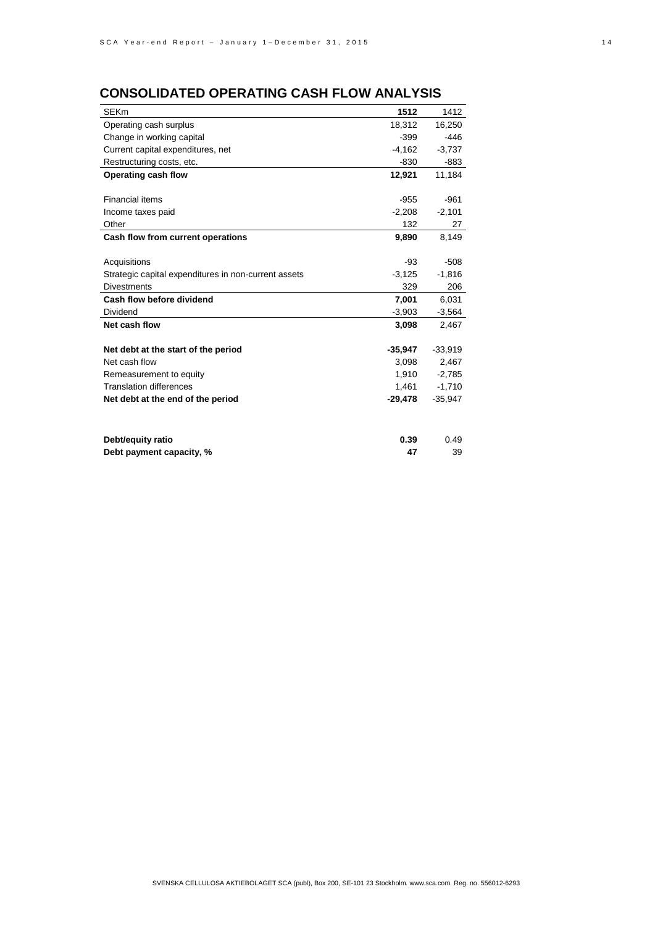# **CONSOLIDATED OPERATING CASH FLOW ANALYSIS**

| <b>SEKm</b>                                          | 1512      | 1412      |
|------------------------------------------------------|-----------|-----------|
| Operating cash surplus                               | 18,312    | 16,250    |
| Change in working capital                            | $-399$    | $-446$    |
| Current capital expenditures, net                    | $-4,162$  | $-3,737$  |
| Restructuring costs, etc.                            | -830      | -883      |
| Operating cash flow                                  | 12,921    | 11,184    |
|                                                      |           |           |
| <b>Financial items</b>                               | $-955$    | $-961$    |
| Income taxes paid                                    | $-2,208$  | $-2,101$  |
| Other                                                | 132       | 27        |
| Cash flow from current operations                    | 9,890     | 8,149     |
|                                                      |           |           |
| Acquisitions                                         | -93       | $-508$    |
| Strategic capital expenditures in non-current assets | $-3,125$  | $-1,816$  |
| <b>Divestments</b>                                   | 329       | 206       |
| Cash flow before dividend                            | 7,001     | 6,031     |
| Dividend                                             | $-3,903$  | $-3,564$  |
| Net cash flow                                        | 3,098     | 2,467     |
|                                                      |           |           |
| Net debt at the start of the period                  | $-35,947$ | $-33,919$ |
| Net cash flow                                        | 3,098     | 2,467     |
| Remeasurement to equity                              | 1,910     | $-2,785$  |
| <b>Translation differences</b>                       | 1,461     | $-1,710$  |
| Net debt at the end of the period                    | $-29,478$ | $-35,947$ |
|                                                      |           |           |
| Debt/equity ratio                                    | 0.39      | 0.49      |
| Debt payment capacity, %                             | 47        | 39        |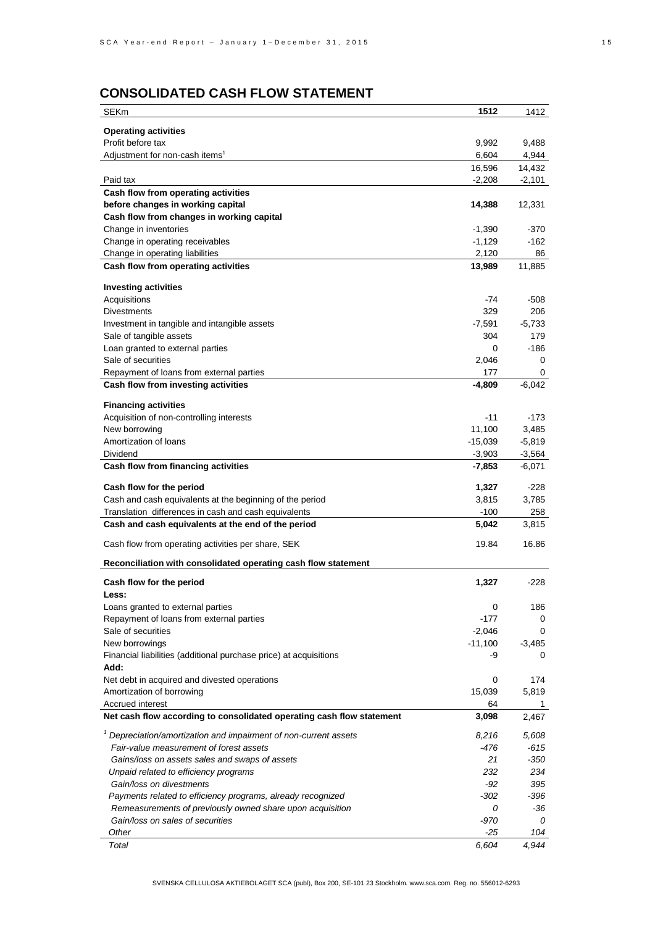# **CONSOLIDATED CASH FLOW STATEMENT**

| <b>SEKm</b>                                                                 | 1512      | 1412                 |
|-----------------------------------------------------------------------------|-----------|----------------------|
|                                                                             |           |                      |
| <b>Operating activities</b>                                                 |           |                      |
| Profit before tax<br>Adjustment for non-cash items <sup>1</sup>             | 9,992     | 9,488<br>4,944       |
|                                                                             | 6,604     |                      |
|                                                                             | 16,596    | 14,432               |
| Paid tax<br>Cash flow from operating activities                             | $-2,208$  | $-2,101$             |
| before changes in working capital                                           | 14,388    | 12,331               |
| Cash flow from changes in working capital                                   |           |                      |
| Change in inventories                                                       | $-1,390$  | -370                 |
| Change in operating receivables                                             | $-1,129$  | $-162$               |
| Change in operating liabilities                                             | 2,120     | 86                   |
| Cash flow from operating activities                                         | 13,989    | 11,885               |
|                                                                             |           |                      |
| <b>Investing activities</b>                                                 |           |                      |
| Acquisitions                                                                | -74       | $-508$               |
| <b>Divestments</b>                                                          | 329       | 206                  |
| Investment in tangible and intangible assets                                | $-7,591$  | $-5,733$             |
| Sale of tangible assets                                                     | 304       | 179                  |
| Loan granted to external parties                                            | 0         | -186                 |
| Sale of securities                                                          | 2,046     | 0                    |
| Repayment of loans from external parties                                    | 177       | 0                    |
| Cash flow from investing activities                                         | -4,809    | $-6,042$             |
| <b>Financing activities</b>                                                 |           |                      |
| Acquisition of non-controlling interests                                    | $-11$     | $-173$               |
| New borrowing                                                               | 11,100    | 3,485                |
| Amortization of loans                                                       | $-15,039$ |                      |
| Dividend                                                                    | $-3,903$  | $-5,819$<br>$-3,564$ |
| Cash flow from financing activities                                         | $-7,853$  | $-6,071$             |
|                                                                             |           |                      |
| Cash flow for the period                                                    | 1,327     | $-228$               |
| Cash and cash equivalents at the beginning of the period                    | 3,815     | 3,785                |
| Translation differences in cash and cash equivalents                        | $-100$    | 258                  |
| Cash and cash equivalents at the end of the period                          | 5,042     | 3,815                |
| Cash flow from operating activities per share, SEK                          | 19.84     | 16.86                |
|                                                                             |           |                      |
| Reconciliation with consolidated operating cash flow statement              |           |                      |
| Cash flow for the period                                                    | 1,327     | $-228$               |
| Less:                                                                       |           |                      |
| Loans granted to external parties                                           | 0         | 186                  |
| Repayment of loans from external parties                                    | -177      | 0                    |
| Sale of securities                                                          | $-2,046$  | 0                    |
| New borrowings                                                              | $-11,100$ | $-3,485$             |
| Financial liabilities (additional purchase price) at acquisitions           | -9        | 0                    |
| Add:                                                                        |           |                      |
| Net debt in acquired and divested operations                                | 0         | 174                  |
| Amortization of borrowing                                                   | 15,039    | 5,819                |
| Accrued interest                                                            | 64        | 1                    |
| Net cash flow according to consolidated operating cash flow statement       | 3,098     | 2,467                |
| <sup>1</sup> Depreciation/amortization and impairment of non-current assets | 8,216     | 5,608                |
| Fair-value measurement of forest assets                                     | -476      | -615                 |
| Gains/loss on assets sales and swaps of assets                              | 21        | $-350$               |
| Unpaid related to efficiency programs                                       | 232       | 234                  |
| Gain/loss on divestments                                                    | -92       | 395                  |
| Payments related to efficiency programs, already recognized                 | $-302$    | -396                 |
| Remeasurements of previously owned share upon acquisition                   | 0         | -36                  |
| Gain/loss on sales of securities                                            | -970      | 0                    |
| Other                                                                       | $-25$     | 104                  |
| Total                                                                       | 6,604     | 4,944                |
|                                                                             |           |                      |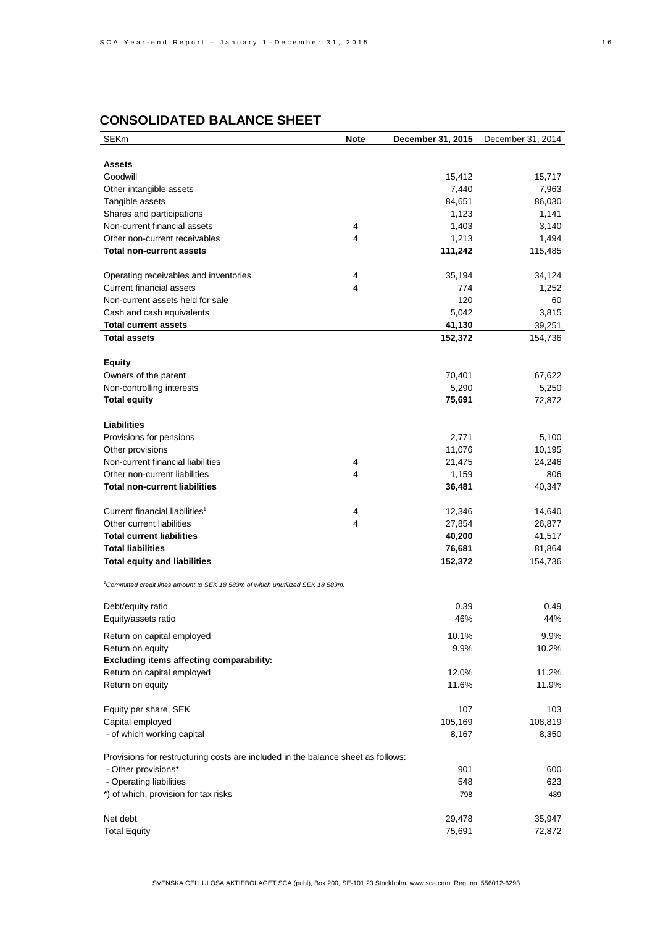# **CONSOLIDATED BALANCE SHEET**

| <b>SEKm</b>                                                                                | <b>Note</b> | December 31, 2015 | December 31, 2014 |
|--------------------------------------------------------------------------------------------|-------------|-------------------|-------------------|
|                                                                                            |             |                   |                   |
| <b>Assets</b>                                                                              |             |                   |                   |
| Goodwill                                                                                   |             | 15,412            | 15,717            |
| Other intangible assets                                                                    |             | 7,440             | 7,963             |
| Tangible assets                                                                            |             | 84,651            | 86,030            |
| Shares and participations                                                                  |             | 1,123             | 1,141             |
| Non-current financial assets                                                               | 4           | 1,403             | 3,140             |
| Other non-current receivables                                                              | 4           | 1,213             | 1,494             |
| <b>Total non-current assets</b>                                                            |             | 111,242           | 115,485           |
|                                                                                            |             |                   |                   |
| Operating receivables and inventories                                                      | 4           | 35,194            | 34,124            |
| Current financial assets                                                                   | 4           | 774               | 1,252             |
| Non-current assets held for sale                                                           |             | 120               | 60                |
| Cash and cash equivalents                                                                  |             | 5,042             | 3,815             |
| <b>Total current assets</b>                                                                |             | 41,130            | 39,251            |
| <b>Total assets</b>                                                                        |             | 152,372           | 154,736           |
|                                                                                            |             |                   |                   |
| <b>Equity</b>                                                                              |             |                   |                   |
| Owners of the parent                                                                       |             | 70,401            | 67,622            |
| Non-controlling interests                                                                  |             | 5,290             | 5,250             |
| <b>Total equity</b>                                                                        |             | 75,691            | 72,872            |
|                                                                                            |             |                   |                   |
| <b>Liabilities</b>                                                                         |             |                   |                   |
| Provisions for pensions                                                                    |             | 2,771             | 5,100             |
| Other provisions                                                                           |             | 11,076            | 10,195            |
| Non-current financial liabilities                                                          | 4           | 21,475            | 24,246            |
| Other non-current liabilities                                                              | 4           | 1,159             | 806               |
| <b>Total non-current liabilities</b>                                                       |             | 36,481            | 40,347            |
|                                                                                            |             |                   |                   |
| Current financial liabilities <sup>1</sup>                                                 | 4           | 12,346            | 14,640            |
| Other current liabilities                                                                  | 4           | 27,854            | 26,877            |
| <b>Total current liabilities</b>                                                           |             | 40,200            | 41,517            |
| <b>Total liabilities</b>                                                                   |             | 76,681            | 81,864            |
| <b>Total equity and liabilities</b>                                                        |             | 152,372           | 154,736           |
|                                                                                            |             |                   |                   |
| <sup>1</sup> Committed credit lines amount to SEK 18 583m of which unutilized SEK 18 583m. |             |                   |                   |
|                                                                                            |             |                   |                   |
| Debt/equity ratio                                                                          |             | 0.39              | 0.49              |
| Equity/assets ratio                                                                        |             | 46%               | 44%               |
| Return on capital employed                                                                 |             | 10.1%             | 9.9%              |
| Return on equity                                                                           |             | 9.9%              | 10.2%             |
| Excluding items affecting comparability:                                                   |             |                   |                   |
| Return on capital employed                                                                 |             | 12.0%             | 11.2%             |
| Return on equity                                                                           |             | 11.6%             | 11.9%             |
|                                                                                            |             |                   |                   |
| Equity per share, SEK                                                                      |             | 107               | 103               |
| Capital employed                                                                           |             | 105,169           | 108,819           |
| - of which working capital                                                                 |             | 8,167             | 8,350             |
|                                                                                            |             |                   |                   |
| Provisions for restructuring costs are included in the balance sheet as follows:           |             |                   |                   |
| - Other provisions*                                                                        |             | 901               | 600               |
| - Operating liabilities                                                                    |             | 548               | 623               |
| *) of which, provision for tax risks                                                       |             | 798               | 489               |
|                                                                                            |             |                   |                   |
| Net debt                                                                                   |             | 29,478            | 35,947            |
| <b>Total Equity</b>                                                                        |             | 75,691            | 72,872            |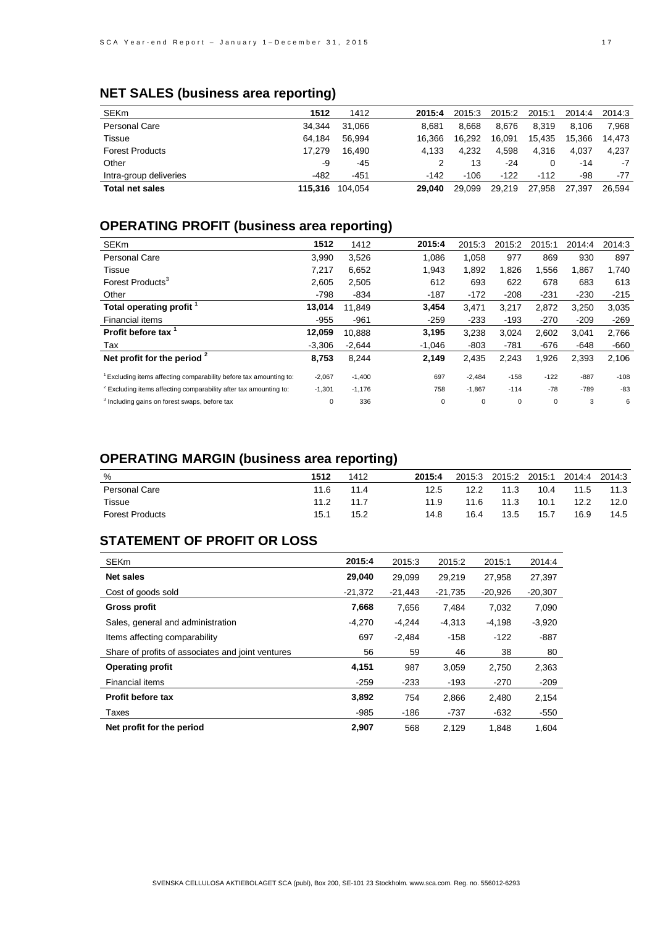# **NET SALES (business area reporting)**

| <b>SEKm</b>            | 1512    | 1412    | 2015:4 | 2015:3 | 2015:2 | 2015:1 | 2014:4 | 2014:3 |
|------------------------|---------|---------|--------|--------|--------|--------|--------|--------|
| <b>Personal Care</b>   | 34.344  | 31.066  | 8.681  | 8.668  | 8.676  | 8.319  | 8.106  | 7.968  |
| Tissue                 | 64.184  | 56.994  | 16.366 | 16.292 | 16.091 | 15.435 | 15.366 | 14.473 |
| <b>Forest Products</b> | 17.279  | 16.490  | 4.133  | 4.232  | 4.598  | 4.316  | 4.037  | 4.237  |
| Other                  | -9      | -45     |        | 13     | $-24$  | 0      | $-14$  | $-7$   |
| Intra-group deliveries | -482    | -451    | $-142$ | $-106$ | $-122$ | $-112$ | -98    | -77    |
| <b>Total net sales</b> | 115.316 | 104.054 | 29.040 | 29.099 | 29,219 | 27,958 | 27.397 | 26.594 |
|                        |         |         |        |        |        |        |        |        |

# **OPERATING PROFIT (business area reporting)**

| <b>SEKm</b>                                                                  | 1512     | 1412     | 2015:4   | 2015:3   | 2015:2 | 2015:1 | 2014:4 | 2014:3 |
|------------------------------------------------------------------------------|----------|----------|----------|----------|--------|--------|--------|--------|
| <b>Personal Care</b>                                                         | 3,990    | 3,526    | 1.086    | 1.058    | 977    | 869    | 930    | 897    |
| Tissue                                                                       | 7.217    | 6.652    | 1,943    | 1.892    | 1.826  | 1,556  | 1,867  | 1.740  |
| Forest Products <sup>3</sup>                                                 | 2,605    | 2,505    | 612      | 693      | 622    | 678    | 683    | 613    |
| Other                                                                        | $-798$   | $-834$   | $-187$   | $-172$   | $-208$ | $-231$ | $-230$ | $-215$ |
| Total operating profit 1                                                     | 13.014   | 11.849   | 3,454    | 3,471    | 3,217  | 2,872  | 3,250  | 3,035  |
| Financial items                                                              | $-955$   | $-961$   | $-259$   | $-233$   | $-193$ | $-270$ | $-209$ | $-269$ |
| Profit before tax                                                            | 12.059   | 10.888   | 3,195    | 3,238    | 3,024  | 2.602  | 3,041  | 2,766  |
| Tax                                                                          | $-3.306$ | $-2.644$ | $-1,046$ | $-803$   | $-781$ | -676   | $-648$ | -660   |
| Net profit for the period $2$                                                | 8,753    | 8,244    | 2,149    | 2,435    | 2,243  | 1,926  | 2,393  | 2,106  |
| Excluding items affecting comparability before tax amounting to:             | $-2,067$ | $-1,400$ | 697      | $-2,484$ | $-158$ | $-122$ | $-887$ | $-108$ |
| <sup>2</sup> Excluding items affecting comparability after tax amounting to: | $-1,301$ | $-1,176$ | 758      | $-1,867$ | $-114$ | $-78$  | $-789$ | $-83$  |
| <sup>3</sup> Including gains on forest swaps, before tax                     | 0        | 336      | 0        | 0        | 0      | 0      | 3      | 6      |

# **OPERATING MARGIN (business area reporting)**

| %                      | 1512 | 1412 | 2015:4 | 2015:3 | 2015:2 | 2015:1 | 2014:4 | 2014:3 |
|------------------------|------|------|--------|--------|--------|--------|--------|--------|
| Personal Care          | 11.6 | 11.4 | 12.5   | 12.2   | 11.3   | 10.4   | 11.5   | 11.3   |
| Tissue                 | 11.2 | 11.7 | 11.9   | 11.6   | 11.3   | 10.1   | 12.2   | 12.0   |
| <b>Forest Products</b> | 15.1 | 15.2 | 14.8   | 16.4   | 13.5   | 15.7   | 16.9   | 14.5   |

# **STATEMENT OF PROFIT OR LOSS**

| <b>SEKm</b>                                       | 2015:4    | 2015:3    | 2015:2    | 2015:1    | 2014:4    |
|---------------------------------------------------|-----------|-----------|-----------|-----------|-----------|
| <b>Net sales</b>                                  | 29,040    | 29.099    | 29.219    | 27.958    | 27.397    |
| Cost of goods sold                                | $-21.372$ | $-21.443$ | $-21.735$ | $-20.926$ | $-20,307$ |
| <b>Gross profit</b>                               | 7,668     | 7,656     | 7.484     | 7,032     | 7,090     |
| Sales, general and administration                 | $-4,270$  | $-4,244$  | $-4.313$  | $-4,198$  | $-3,920$  |
| Items affecting comparability                     | 697       | $-2.484$  | $-158$    | $-122$    | $-887$    |
| Share of profits of associates and joint ventures | 56        | 59        | 46        | 38        | 80        |
| <b>Operating profit</b>                           | 4,151     | 987       | 3,059     | 2,750     | 2,363     |
| Financial items                                   | $-259$    | $-233$    | $-193$    | $-270$    | $-209$    |
| <b>Profit before tax</b>                          | 3,892     | 754       | 2,866     | 2,480     | 2,154     |
| Taxes                                             | -985      | -186      | $-737$    | -632      | $-550$    |
| Net profit for the period                         | 2,907     | 568       | 2,129     | 1.848     | 1,604     |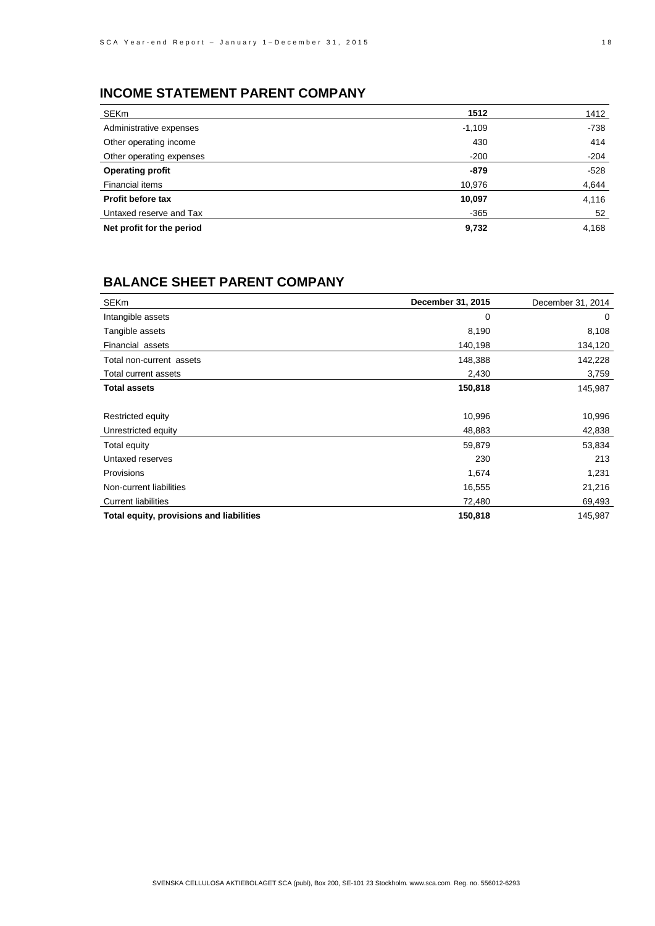# **INCOME STATEMENT PARENT COMPANY**

| SEKm                      | 1512     | 1412   |
|---------------------------|----------|--------|
| Administrative expenses   | $-1,109$ | $-738$ |
| Other operating income    | 430      | 414    |
| Other operating expenses  | $-200$   | $-204$ |
| <b>Operating profit</b>   | $-879$   | $-528$ |
| Financial items           | 10,976   | 4,644  |
| Profit before tax         | 10,097   | 4,116  |
| Untaxed reserve and Tax   | $-365$   | 52     |
| Net profit for the period | 9,732    | 4,168  |

## **BALANCE SHEET PARENT COMPANY**

| <b>SEKm</b>                              | December 31, 2015 | December 31, 2014 |
|------------------------------------------|-------------------|-------------------|
| Intangible assets                        | $\mathbf 0$       | 0                 |
| Tangible assets                          | 8,190             | 8,108             |
| Financial assets                         | 140,198           | 134,120           |
| Total non-current assets                 | 148,388           | 142,228           |
| Total current assets                     | 2,430             | 3,759             |
| <b>Total assets</b>                      | 150,818           | 145,987           |
|                                          |                   |                   |
| Restricted equity                        | 10,996            | 10,996            |
| Unrestricted equity                      | 48,883            | 42,838            |
| Total equity                             | 59,879            | 53,834            |
| Untaxed reserves                         | 230               | 213               |
| Provisions                               | 1,674             | 1,231             |
| Non-current liabilities                  | 16,555            | 21,216            |
| <b>Current liabilities</b>               | 72,480            | 69,493            |
| Total equity, provisions and liabilities | 150,818           | 145,987           |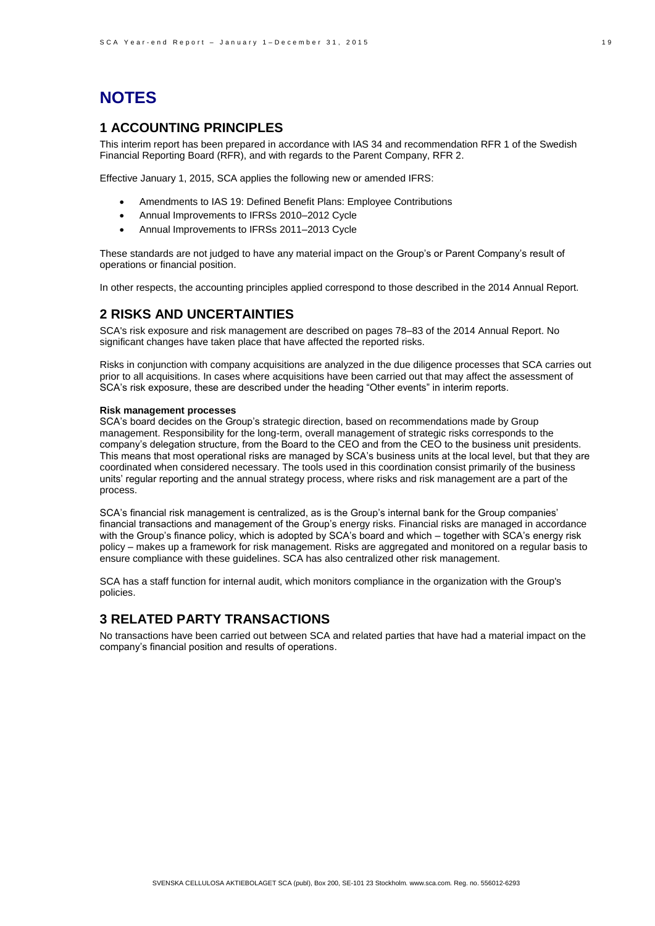# **NOTES**

## **1 ACCOUNTING PRINCIPLES**

This interim report has been prepared in accordance with IAS 34 and recommendation RFR 1 of the Swedish Financial Reporting Board (RFR), and with regards to the Parent Company, RFR 2.

Effective January 1, 2015, SCA applies the following new or amended IFRS:

- Amendments to IAS 19: Defined Benefit Plans: Employee Contributions
- Annual Improvements to IFRSs 2010–2012 Cycle
- Annual Improvements to IFRSs 2011–2013 Cycle

These standards are not judged to have any material impact on the Group's or Parent Company's result of operations or financial position.

In other respects, the accounting principles applied correspond to those described in the 2014 Annual Report.

#### **2 RISKS AND UNCERTAINTIES**

SCA's risk exposure and risk management are described on pages 78–83 of the 2014 Annual Report. No significant changes have taken place that have affected the reported risks.

Risks in conjunction with company acquisitions are analyzed in the due diligence processes that SCA carries out prior to all acquisitions. In cases where acquisitions have been carried out that may affect the assessment of SCA's risk exposure, these are described under the heading "Other events" in interim reports.

#### **Risk management processes**

SCA's board decides on the Group's strategic direction, based on recommendations made by Group management. Responsibility for the long-term, overall management of strategic risks corresponds to the company's delegation structure, from the Board to the CEO and from the CEO to the business unit presidents. This means that most operational risks are managed by SCA's business units at the local level, but that they are coordinated when considered necessary. The tools used in this coordination consist primarily of the business units' regular reporting and the annual strategy process, where risks and risk management are a part of the process.

SCA's financial risk management is centralized, as is the Group's internal bank for the Group companies' financial transactions and management of the Group's energy risks. Financial risks are managed in accordance with the Group's finance policy, which is adopted by SCA's board and which – together with SCA's energy risk policy – makes up a framework for risk management. Risks are aggregated and monitored on a regular basis to ensure compliance with these guidelines. SCA has also centralized other risk management.

SCA has a staff function for internal audit, which monitors compliance in the organization with the Group's policies.

#### **3 RELATED PARTY TRANSACTIONS**

No transactions have been carried out between SCA and related parties that have had a material impact on the company's financial position and results of operations.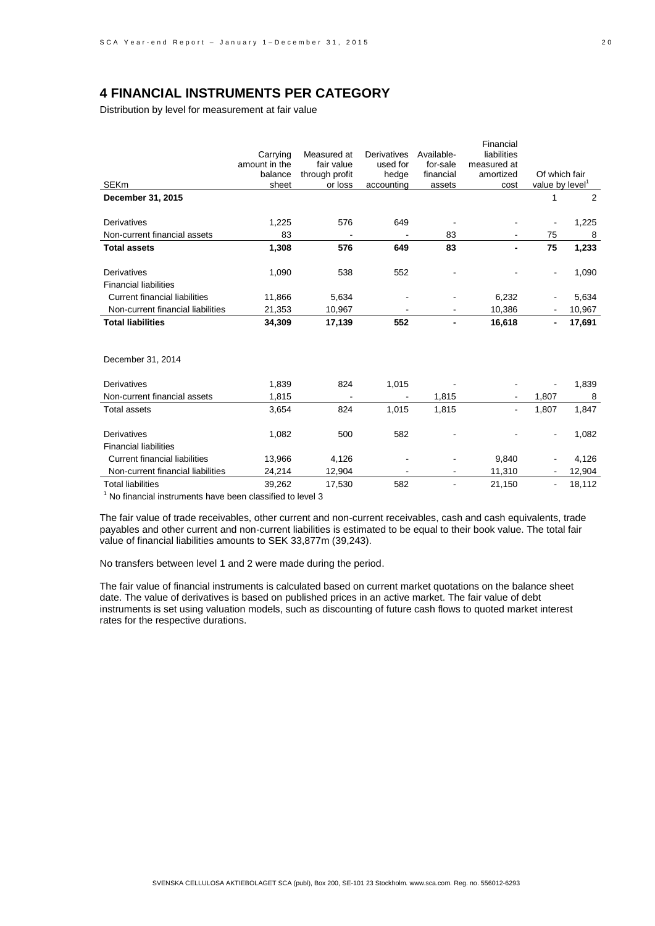## **4 FINANCIAL INSTRUMENTS PER CATEGORY**

Distribution by level for measurement at fair value

|                                      |               |                |             |            | Financial   |                |        |
|--------------------------------------|---------------|----------------|-------------|------------|-------------|----------------|--------|
|                                      | Carrying      | Measured at    | Derivatives | Available- | liabilities |                |        |
|                                      | amount in the | fair value     | used for    | for-sale   | measured at |                |        |
|                                      | balance       | through profit | hedge       | financial  | amortized   | Of which fair  |        |
| <b>SEKm</b>                          | sheet         | or loss        | accounting  | assets     | cost        | value by level |        |
| December 31, 2015                    |               |                |             |            |             | 1              | 2      |
|                                      |               |                |             |            |             |                |        |
| Derivatives                          | 1,225         | 576            | 649         |            |             |                | 1,225  |
| Non-current financial assets         | 83            |                |             | 83         |             | 75             | 8      |
| <b>Total assets</b>                  | 1,308         | 576            | 649         | 83         |             | 75             | 1,233  |
| <b>Derivatives</b>                   | 1,090         | 538            | 552         |            |             | $\blacksquare$ | 1,090  |
| <b>Financial liabilities</b>         |               |                |             |            |             |                |        |
|                                      |               |                |             |            |             |                |        |
| <b>Current financial liabilities</b> | 11,866        | 5,634          |             |            | 6,232       |                | 5,634  |
| Non-current financial liabilities    | 21,353        | 10,967         |             |            | 10,386      |                | 10,967 |
| <b>Total liabilities</b>             | 34,309        | 17,139         | 552         |            | 16,618      | $\blacksquare$ | 17,691 |
|                                      |               |                |             |            |             |                |        |
| December 31, 2014                    |               |                |             |            |             |                |        |
|                                      |               |                |             |            |             |                |        |
| Derivatives                          | 1,839         | 824            | 1,015       |            |             |                | 1,839  |
| Non-current financial assets         | 1,815         |                |             | 1,815      |             | 1,807          | 8      |
| <b>Total assets</b>                  | 3,654         | 824            | 1,015       | 1,815      |             | 1,807          | 1,847  |
|                                      |               |                |             |            |             |                |        |
| <b>Derivatives</b>                   | 1,082         | 500            | 582         |            |             | $\blacksquare$ | 1,082  |
| <b>Financial liabilities</b>         |               |                |             |            |             |                |        |
| <b>Current financial liabilities</b> | 13,966        | 4,126          |             |            | 9,840       |                | 4,126  |
| Non-current financial liabilities    | 24,214        | 12,904         |             |            | 11,310      |                | 12,904 |
| <b>Total liabilities</b>             | 39,262        | 17,530         | 582         |            | 21,150      | $\blacksquare$ | 18,112 |
|                                      |               |                |             |            |             |                |        |

 $1$  No financial instruments have been classified to level 3

The fair value of trade receivables, other current and non-current receivables, cash and cash equivalents, trade payables and other current and non-current liabilities is estimated to be equal to their book value. The total fair value of financial liabilities amounts to SEK 33,877m (39,243).

No transfers between level 1 and 2 were made during the period.

The fair value of financial instruments is calculated based on current market quotations on the balance sheet date. The value of derivatives is based on published prices in an active market. The fair value of debt instruments is set using valuation models, such as discounting of future cash flows to quoted market interest rates for the respective durations.